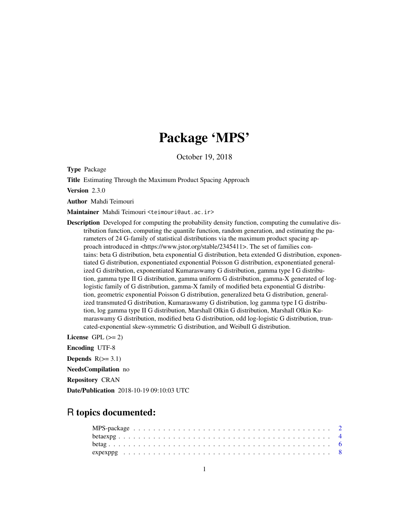## Package 'MPS'

October 19, 2018

Type Package

Title Estimating Through the Maximum Product Spacing Approach

Version 2.3.0

Author Mahdi Teimouri

Maintainer Mahdi Teimouri <teimouri@aut.ac.ir>

Description Developed for computing the probability density function, computing the cumulative distribution function, computing the quantile function, random generation, and estimating the parameters of 24 G-family of statistical distributions via the maximum product spacing approach introduced in <https://www.jstor.org/stable/2345411>. The set of families contains: beta G distribution, beta exponential G distribution, beta extended G distribution, exponentiated G distribution, exponentiated exponential Poisson G distribution, exponentiated generalized G distribution, exponentiated Kumaraswamy G distribution, gamma type I G distribution, gamma type II G distribution, gamma uniform G distribution, gamma-X generated of loglogistic family of G distribution, gamma-X family of modified beta exponential G distribution, geometric exponential Poisson G distribution, generalized beta G distribution, generalized transmuted G distribution, Kumaraswamy G distribution, log gamma type I G distribution, log gamma type II G distribution, Marshall Olkin G distribution, Marshall Olkin Kumaraswamy G distribution, modified beta G distribution, odd log-logistic G distribution, truncated-exponential skew-symmetric G distribution, and Weibull G distribution.

License GPL  $(>= 2)$ Encoding UTF-8 Depends  $R(>= 3.1)$ NeedsCompilation no Repository CRAN Date/Publication 2018-10-19 09:10:03 UTC

### R topics documented: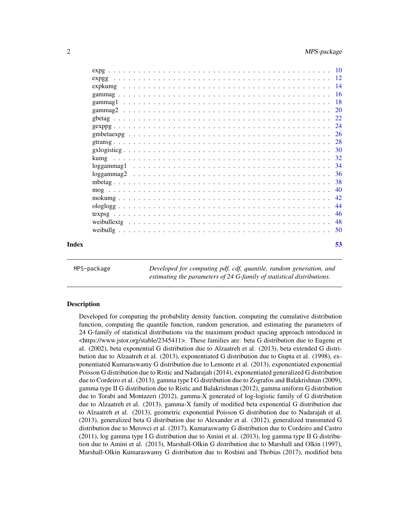<span id="page-1-0"></span>

| Index | 53 |
|-------|----|

MPS-package *Developed for computing pdf, cdf, quantile, random generation, and estimating the parameters of 24 G-family of statistical distributions.*

#### Description

Developed for computing the probability density function, computing the cumulative distribution function, computing the quantile function, random generation, and estimating the parameters of 24 G-family of statistical distributions via the maximum product spacing approach introduced in  $\lt$ https://www.jstor.org/stable/2345411>. These families are: beta G distribution due to Eugene et al. (2002), beta exponential G distribution due to Alzaatreh et al. (2013), beta extended G distribution due to Alzaatreh et al. (2013), exponentiated G distribution due to Gupta et al. (1998), exponentiated Kumaraswamy G distribution due to Lemonte et al. (2013), exponentiated exponential Poisson G distribution due to Ristic and Nadarajah (2014), exponentiated generalized G distribution due to Cordeiro et al. (2013), gamma type I G distribution due to Zografos and Balakrishnan (2009), gamma type II G distribution due to Ristic and Balakrishnan (2012), gamma uniform G distribution due to Torabi and Montazeri (2012), gamma-X generated of log-logistic family of G distribution due to Alzaatreh et al. (2013), gamma-X family of modified beta exponential G distribution due to Alzaatreh et al. (2013), geometric exponential Poisson G distribution due to Nadarajah et al. (2013), generalized beta G distribution due to Alexander et al. (2012), generalized transmuted G distribution due to Merovci et al. (2017), Kumaraswamy G distribution due to Cordeiro and Castro (2011), log gamma type I G distribution due to Amini et al. (2013), log gamma type II G distribution due to Amini et al. (2013), Marshall-Olkin G distribution due to Marshall and Olkin (1997), Marshall-Olkin Kumaraswamy G distribution due to Roshini and Thobias (2017), modified beta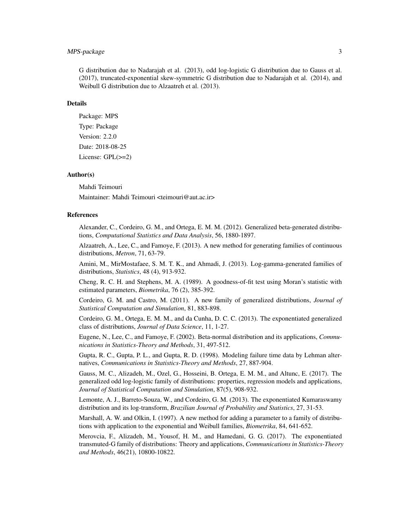#### MPS-package 3

G distribution due to Nadarajah et al. (2013), odd log-logistic G distribution due to Gauss et al. (2017), truncated-exponential skew-symmetric G distribution due to Nadarajah et al. (2014), and Weibull G distribution due to Alzaatreh et al. (2013).

#### Details

Package: MPS Type: Package Version: 2.2.0 Date: 2018-08-25 License: GPL(>=2)

#### Author(s)

Mahdi Teimouri Maintainer: Mahdi Teimouri <teimouri@aut.ac.ir>

#### References

Alexander, C., Cordeiro, G. M., and Ortega, E. M. M. (2012). Generalized beta-generated distributions, *Computational Statistics and Data Analysis*, 56, 1880-1897.

Alzaatreh, A., Lee, C., and Famoye, F. (2013). A new method for generating families of continuous distributions, *Metron*, 71, 63-79.

Amini, M., MirMostafaee, S. M. T. K., and Ahmadi, J. (2013). Log-gamma-generated families of distributions, *Statistics*, 48 (4), 913-932.

Cheng, R. C. H. and Stephens, M. A. (1989). A goodness-of-fit test using Moran's statistic with estimated parameters, *Biometrika*, 76 (2), 385-392.

Cordeiro, G. M. and Castro, M. (2011). A new family of generalized distributions, *Journal of Statistical Computation and Simulation*, 81, 883-898.

Cordeiro, G. M., Ortega, E. M. M., and da Cunha, D. C. C. (2013). The exponentiated generalized class of distributions, *Journal of Data Science*, 11, 1-27.

Eugene, N., Lee, C., and Famoye, F. (2002). Beta-normal distribution and its applications, *Communications in Statistics-Theory and Methods*, 31, 497-512.

Gupta, R. C., Gupta, P. L., and Gupta, R. D. (1998). Modeling failure time data by Lehman alternatives, *Communications in Statistics-Theory and Methods*, 27, 887-904.

Gauss, M. C., Alizadeh, M., Ozel, G., Hosseini, B. Ortega, E. M. M., and Altunc, E. (2017). The generalized odd log-logistic family of distributions: properties, regression models and applications, *Journal of Statistical Computation and Simulation*, 87(5), 908-932.

Lemonte, A. J., Barreto-Souza, W., and Cordeiro, G. M. (2013). The exponentiated Kumaraswamy distribution and its log-transform, *Brazilian Journal of Probability and Statistics*, 27, 31-53.

Marshall, A. W. and Olkin, I. (1997). A new method for adding a parameter to a family of distributions with application to the exponential and Weibull families, *Biometrika*, 84, 641-652.

Merovcia, F., Alizadeh, M., Yousof, H. M., and Hamedani, G. G. (2017). The exponentiated transmuted-G family of distributions: Theory and applications, *Communications in Statistics-Theory and Methods*, 46(21), 10800-10822.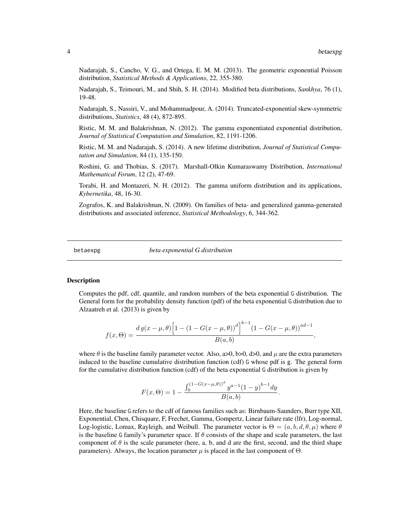<span id="page-3-0"></span>Nadarajah, S., Cancho, V. G., and Ortega, E. M. M. (2013). The geometric exponential Poisson distribution, *Statistical Methods & Applications*, 22, 355-380.

Nadarajah, S., Teimouri, M., and Shih, S. H. (2014). Modified beta distributions, *Sankhya*, 76 (1), 19-48.

Nadarajah, S., Nassiri, V., and Mohammadpour, A. (2014). Truncated-exponential skew-symmetric distributions, *Statistics*, 48 (4), 872-895.

Ristic, M. M. and Balakrishnan, N. (2012). The gamma exponentiated exponential distribution, *Journal of Statistical Computation and Simulation*, 82, 1191-1206.

Ristic, M. M. and Nadarajah, S. (2014). A new lifetime distribution, *Journal of Statistical Computation and Simulation*, 84 (1), 135-150.

Roshini, G. and Thobias, S. (2017). Marshall-Olkin Kumaraswamy Distribution, *International Mathematical Forum*, 12 (2), 47-69.

Torabi, H. and Montazeri, N. H. (2012). The gamma uniform distribution and its applications, *Kybernetika*, 48, 16-30.

Zografos, K. and Balakrishnan, N. (2009). On families of beta- and generalized gamma-generated distributions and associated inference, *Statistical Methodology*, 6, 344-362.

betaexpg *beta exponential G distribution*

#### **Description**

Computes the pdf, cdf, quantile, and random numbers of the beta exponential G distribution. The General form for the probability density function (pdf) of the beta exponential G distribution due to Alzaatreh et al. (2013) is given by

$$
f(x,\Theta) = \frac{d g(x-\mu,\theta) \Big[1 - (1 - G(x-\mu,\theta))^{d}\Big]^{b-1} (1 - G(x-\mu,\theta))^{ad-1}}{B(a,b)},
$$

where  $\theta$  is the baseline family parameter vector. Also, a>0, b>0, d>0, and  $\mu$  are the extra parameters induced to the baseline cumulative distribution function (cdf) G whose pdf is g. The general form for the cumulative distribution function (cdf) of the beta exponential G distribution is given by

$$
F(x,\Theta) = 1 - \frac{\int_0^{(1-G(x-\mu,\theta))^d} y^{a-1} (1-y)^{b-1} dy}{B(a,b)}.
$$

Here, the baseline G refers to the cdf of famous families such as: Birnbaum-Saunders, Burr type XII, Exponential, Chen, Chisquare, F, Frechet, Gamma, Gompertz, Linear failure rate (lfr), Log-normal, Log-logistic, Lomax, Rayleigh, and Weibull. The parameter vector is  $\Theta = (a, b, d, \theta, \mu)$  where  $\theta$ is the baseline G family's parameter space. If  $\theta$  consists of the shape and scale parameters, the last component of  $\theta$  is the scale parameter (here, a, b, and d are the first, second, and the third shape parameters). Always, the location parameter  $\mu$  is placed in the last component of  $\Theta$ .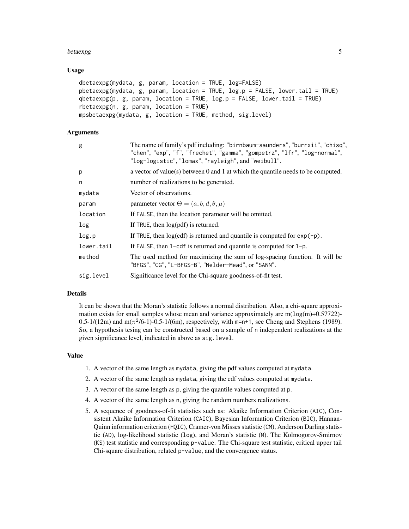#### betaexpg 5

#### Usage

```
dbetaexpg(mydata, g, param, location = TRUE, log=FALSE)
pbetaexpg(mydata, g, param, location = TRUE, log.p = FALSE, lower.tail = TRUE)
qbetaexpg(p, g, param, location = TRUE, log.p = FALSE, lower.tail = TRUE)
rbetaexpg(n, g, param, location = TRUE)
mpsbetaexpg(mydata, g, location = TRUE, method, sig.level)
```
#### Arguments

| g          | The name of family's pdf including: "birnbaum-saunders", "burrxii", "chisq",<br>"chen", "exp", "f", "frechet", "gamma", "gompetrz", "lfr", "log-normal",<br>"log-logistic", "lomax", "rayleigh", and "weibull". |
|------------|-----------------------------------------------------------------------------------------------------------------------------------------------------------------------------------------------------------------|
| p          | a vector of value(s) between 0 and 1 at which the quantile needs to be computed.                                                                                                                                |
| n          | number of realizations to be generated.                                                                                                                                                                         |
| mydata     | Vector of observations.                                                                                                                                                                                         |
| param      | parameter vector $\Theta = (a, b, d, \theta, \mu)$                                                                                                                                                              |
| location   | If FALSE, then the location parameter will be omitted.                                                                                                                                                          |
| log        | If TRUE, then $log(pdf)$ is returned.                                                                                                                                                                           |
| log.p      | If TRUE, then $log(cdf)$ is returned and quantile is computed for $exp(-p)$ .                                                                                                                                   |
| lower.tail | If FALSE, then $1$ -cdf is returned and quantile is computed for $1-p$ .                                                                                                                                        |
| method     | The used method for maximizing the sum of log-spacing function. It will be<br>"BFGS", "CG", "L-BFGS-B", "Nelder-Mead", or "SANN".                                                                               |
| sig.level  | Significance level for the Chi-square goodness-of-fit test.                                                                                                                                                     |

#### Details

It can be shown that the Moran's statistic follows a normal distribution. Also, a chi-square approximation exists for small samples whose mean and variance approximately are  $m(\log(m)+0.57722)$ -0.5-1/(12m) and m( $\pi^2/6$ -1)-0.5-1/(6m), respectively, with m=n+1, see Cheng and Stephens (1989). So, a hypothesis tesing can be constructed based on a sample of n independent realizations at the given significance level, indicated in above as sig.level.

#### Value

- 1. A vector of the same length as mydata, giving the pdf values computed at mydata.
- 2. A vector of the same length as mydata, giving the cdf values computed at mydata.
- 3. A vector of the same length as p, giving the quantile values computed at p.
- 4. A vector of the same length as n, giving the random numbers realizations.
- 5. A sequence of goodness-of-fit statistics such as: Akaike Information Criterion (AIC), Consistent Akaike Information Criterion (CAIC), Bayesian Information Criterion (BIC), Hannan-Quinn information criterion (HQIC), Cramer-von Misses statistic (CM), Anderson Darling statistic (AD), log-likelihood statistic (log), and Moran's statistic (M). The Kolmogorov-Smirnov (KS) test statistic and corresponding p-value. The Chi-square test statistic, critical upper tail Chi-square distribution, related p-value, and the convergence status.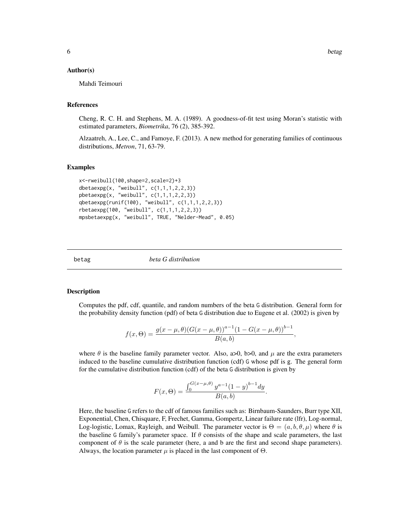#### <span id="page-5-0"></span>Author(s)

Mahdi Teimouri

#### References

Cheng, R. C. H. and Stephens, M. A. (1989). A goodness-of-fit test using Moran's statistic with estimated parameters, *Biometrika*, 76 (2), 385-392.

Alzaatreh, A., Lee, C., and Famoye, F. (2013). A new method for generating families of continuous distributions, *Metron*, 71, 63-79.

#### Examples

```
x<-rweibull(100,shape=2,scale=2)+3
dbetaexpg(x, "weibull", c(1,1,1,2,2,3))
pbetaexpg(x, "weibull", c(1,1,1,2,2,3))
qbetaexpg(runif(100), "weibull", c(1,1,1,2,2,3))
rbetaexpg(100, "weibull", c(1,1,1,2,2,3))
mpsbetaexpg(x, "weibull", TRUE, "Nelder-Mead", 0.05)
```
betag *beta G distribution*

#### **Description**

Computes the pdf, cdf, quantile, and random numbers of the beta G distribution. General form for the probability density function (pdf) of beta G distribution due to Eugene et al. (2002) is given by

$$
f(x, \Theta) = \frac{g(x - \mu, \theta) (G(x - \mu, \theta))^{a - 1} (1 - G(x - \mu, \theta))^{b - 1}}{B(a, b)},
$$

where  $\theta$  is the baseline family parameter vector. Also, a  $\geq 0$ , b  $\geq 0$ , and  $\mu$  are the extra parameters induced to the baseline cumulative distribution function (cdf) G whose pdf is g. The general form for the cumulative distribution function (cdf) of the beta G distribution is given by

$$
F(x,\Theta) = \frac{\int_0^{G(x-\mu,\theta)} y^{a-1} (1-y)^{b-1} dy}{B(a,b)}.
$$

Here, the baseline G refers to the cdf of famous families such as: Birnbaum-Saunders, Burr type XII, Exponential, Chen, Chisquare, F, Frechet, Gamma, Gompertz, Linear failure rate (lfr), Log-normal, Log-logistic, Lomax, Rayleigh, and Weibull. The parameter vector is  $\Theta = (a, b, \theta, \mu)$  where  $\theta$  is the baseline G family's parameter space. If  $\theta$  consists of the shape and scale parameters, the last component of  $\theta$  is the scale parameter (here, a and b are the first and second shape parameters). Always, the location parameter  $\mu$  is placed in the last component of  $\Theta$ .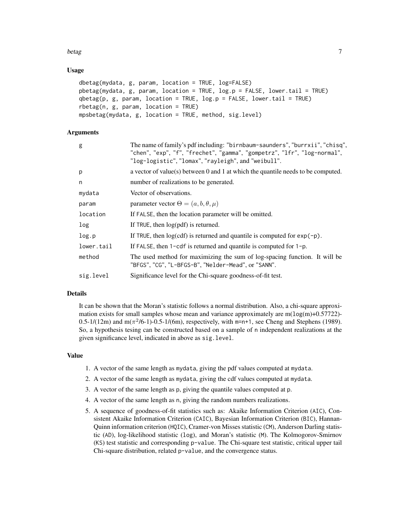#### betag and the set of the set of the set of the set of the set of the set of the set of the set of the set of the set of the set of the set of the set of the set of the set of the set of the set of the set of the set of the

#### Usage

```
dbetag(mydata, g, param, location = TRUE, log=FALSE)
pbetag(mydata, g, param, location = TRUE, log.p = FALSE, lower.tail = TRUE)
qbeta(p, g, param, location = TRUE, log.p = FALSE, lowertail = TRUE)rbetag(n, g, param, location = TRUE)
mpsbetag(mydata, g, location = TRUE, method, sig.level)
```
#### Arguments

| g          | The name of family's pdf including: "birnbaum-saunders", "burrxii", "chisq",<br>"chen", "exp", "f", "frechet", "gamma", "gompetrz", "lfr", "log-normal",<br>"log-logistic", "lomax", "rayleigh", and "weibull". |
|------------|-----------------------------------------------------------------------------------------------------------------------------------------------------------------------------------------------------------------|
| p          | a vector of value(s) between 0 and 1 at which the quantile needs to be computed.                                                                                                                                |
| n          | number of realizations to be generated.                                                                                                                                                                         |
| mydata     | Vector of observations.                                                                                                                                                                                         |
| param      | parameter vector $\Theta = (a, b, \theta, \mu)$                                                                                                                                                                 |
| location   | If FALSE, then the location parameter will be omitted.                                                                                                                                                          |
| log        | If TRUE, then $log(pdf)$ is returned.                                                                                                                                                                           |
| log.p      | If TRUE, then $log(cdf)$ is returned and quantile is computed for $exp(-p)$ .                                                                                                                                   |
| lower.tail | If FALSE, then $1$ -cdf is returned and quantile is computed for $1-p$ .                                                                                                                                        |
| method     | The used method for maximizing the sum of log-spacing function. It will be<br>"BFGS", "CG", "L-BFGS-B", "Nelder-Mead", or "SANN".                                                                               |
| sig.level  | Significance level for the Chi-square goodness-of-fit test.                                                                                                                                                     |

#### Details

It can be shown that the Moran's statistic follows a normal distribution. Also, a chi-square approximation exists for small samples whose mean and variance approximately are  $m(\log(m)+0.57722)$ -0.5-1/(12m) and m( $\pi^2/6$ -1)-0.5-1/(6m), respectively, with m=n+1, see Cheng and Stephens (1989). So, a hypothesis tesing can be constructed based on a sample of n independent realizations at the given significance level, indicated in above as sig.level.

#### Value

- 1. A vector of the same length as mydata, giving the pdf values computed at mydata.
- 2. A vector of the same length as mydata, giving the cdf values computed at mydata.
- 3. A vector of the same length as p, giving the quantile values computed at p.
- 4. A vector of the same length as n, giving the random numbers realizations.
- 5. A sequence of goodness-of-fit statistics such as: Akaike Information Criterion (AIC), Consistent Akaike Information Criterion (CAIC), Bayesian Information Criterion (BIC), Hannan-Quinn information criterion (HQIC), Cramer-von Misses statistic (CM), Anderson Darling statistic (AD), log-likelihood statistic (log), and Moran's statistic (M). The Kolmogorov-Smirnov (KS) test statistic and corresponding p-value. The Chi-square test statistic, critical upper tail Chi-square distribution, related p-value, and the convergence status.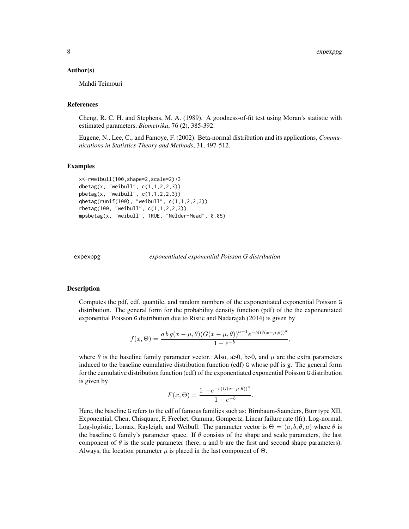#### <span id="page-7-0"></span>Author(s)

Mahdi Teimouri

#### References

Cheng, R. C. H. and Stephens, M. A. (1989). A goodness-of-fit test using Moran's statistic with estimated parameters, *Biometrika*, 76 (2), 385-392.

Eugene, N., Lee, C., and Famoye, F. (2002). Beta-normal distribution and its applications, *Communications in Statistics-Theory and Methods*, 31, 497-512.

#### Examples

```
x<-rweibull(100,shape=2,scale=2)+3
dbetag(x, "weibull", c(1,1,2,2,3))
pbetag(x, "weibull", c(1,1,2,2,3))
qbetag(runif(100), "weibull", c(1,1,2,2,3))
rbetag(100, "weibull", c(1,1,2,2,3))
mpsbetag(x, "weibull", TRUE, "Nelder-Mead", 0.05)
```
expexppg *exponentiated exponential Poisson G distribution*

#### Description

Computes the pdf, cdf, quantile, and random numbers of the exponentiated exponential Poisson G distribution. The general form for the probability density function (pdf) of the the exponentiated exponential Poisson G distribution due to Ristic and Nadarajah (2014) is given by

$$
f(x, \Theta) = \frac{a b g(x - \mu, \theta) (G(x - \mu, \theta))^{a - 1} e^{-b(G(x - \mu, \theta))^a}}{1 - e^{-b}}
$$

,

where  $\theta$  is the baseline family parameter vector. Also, a  $\geq 0$ , b  $\geq 0$ , and  $\mu$  are the extra parameters induced to the baseline cumulative distribution function (cdf) G whose pdf is g. The general form for the cumulative distribution function (cdf) of the exponentiated exponential Poisson G distribution is given by

$$
F(x, \Theta) = \frac{1 - e^{-b(G(x - \mu, \theta))^a}}{1 - e^{-b}}
$$

.

Here, the baseline G refers to the cdf of famous families such as: Birnbaum-Saunders, Burr type XII, Exponential, Chen, Chisquare, F, Frechet, Gamma, Gompertz, Linear failure rate (lfr), Log-normal, Log-logistic, Lomax, Rayleigh, and Weibull. The parameter vector is  $\Theta = (a, b, \theta, \mu)$  where  $\theta$  is the baseline G family's parameter space. If  $\theta$  consists of the shape and scale parameters, the last component of  $\theta$  is the scale parameter (here, a and b are the first and second shape parameters). Always, the location parameter  $\mu$  is placed in the last component of  $\Theta$ .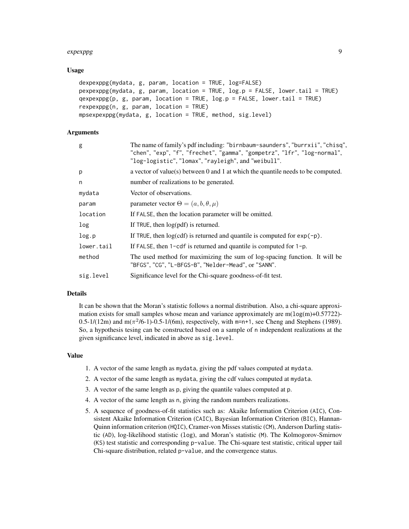#### expexppg and the expexppg of the expexploration of the expexploration of the expexploration of the expexploration of the expexploration of the expexploration of the expectation of the expectation of the expectation of the

#### Usage

```
dexpexppg(mydata, g, param, location = TRUE, log=FALSE)
pexpexppg(mydata, g, param, location = TRUE, log.p = FALSE, lower.tail = TRUE)
qexpexppg(p, g, param, location = TRUE, log.p = FALSE, lower.tail = TRUE)
rexpexppg(n, g, param, location = TRUE)
mpsexpexppg(mydata, g, location = TRUE, method, sig.level)
```
#### Arguments

| g          | The name of family's pdf including: "birnbaum-saunders", "burrxii", "chisq",<br>"chen", "exp", "f", "frechet", "gamma", "gompetrz", "lfr", "log-normal",<br>"log-logistic", "lomax", "rayleigh", and "weibull". |
|------------|-----------------------------------------------------------------------------------------------------------------------------------------------------------------------------------------------------------------|
| p          | a vector of value(s) between 0 and 1 at which the quantile needs to be computed.                                                                                                                                |
| n          | number of realizations to be generated.                                                                                                                                                                         |
| mydata     | Vector of observations.                                                                                                                                                                                         |
| param      | parameter vector $\Theta = (a, b, \theta, \mu)$                                                                                                                                                                 |
| location   | If FALSE, then the location parameter will be omitted.                                                                                                                                                          |
| log        | If TRUE, then $log(pdf)$ is returned.                                                                                                                                                                           |
| log.p      | If TRUE, then $log(cdf)$ is returned and quantile is computed for $exp(-p)$ .                                                                                                                                   |
| lower.tail | If FALSE, then $1$ -cdf is returned and quantile is computed for $1-p$ .                                                                                                                                        |
| method     | The used method for maximizing the sum of log-spacing function. It will be<br>"BFGS", "CG", "L-BFGS-B", "Nelder-Mead", or "SANN".                                                                               |
| sig.level  | Significance level for the Chi-square goodness-of-fit test.                                                                                                                                                     |

#### Details

It can be shown that the Moran's statistic follows a normal distribution. Also, a chi-square approximation exists for small samples whose mean and variance approximately are  $m(\log(m)+0.57722)$ -0.5-1/(12m) and m( $\pi^2/6$ -1)-0.5-1/(6m), respectively, with m=n+1, see Cheng and Stephens (1989). So, a hypothesis tesing can be constructed based on a sample of n independent realizations at the given significance level, indicated in above as sig.level.

#### Value

- 1. A vector of the same length as mydata, giving the pdf values computed at mydata.
- 2. A vector of the same length as mydata, giving the cdf values computed at mydata.
- 3. A vector of the same length as p, giving the quantile values computed at p.
- 4. A vector of the same length as n, giving the random numbers realizations.
- 5. A sequence of goodness-of-fit statistics such as: Akaike Information Criterion (AIC), Consistent Akaike Information Criterion (CAIC), Bayesian Information Criterion (BIC), Hannan-Quinn information criterion (HQIC), Cramer-von Misses statistic (CM), Anderson Darling statistic (AD), log-likelihood statistic (log), and Moran's statistic (M). The Kolmogorov-Smirnov (KS) test statistic and corresponding p-value. The Chi-square test statistic, critical upper tail Chi-square distribution, related p-value, and the convergence status.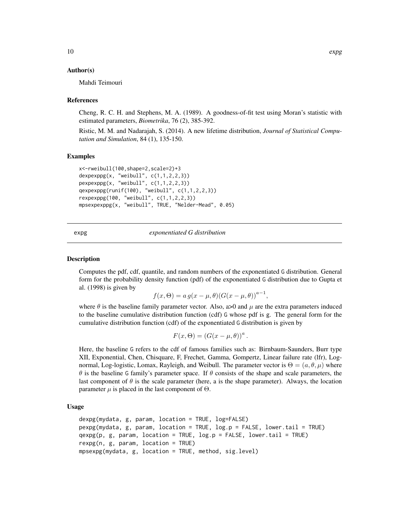#### <span id="page-9-0"></span>Author(s)

Mahdi Teimouri

#### References

Cheng, R. C. H. and Stephens, M. A. (1989). A goodness-of-fit test using Moran's statistic with estimated parameters, *Biometrika*, 76 (2), 385-392.

Ristic, M. M. and Nadarajah, S. (2014). A new lifetime distribution, *Journal of Statistical Computation and Simulation*, 84 (1), 135-150.

#### Examples

```
x<-rweibull(100,shape=2,scale=2)+3
dexpexppg(x, "weibull", c(1,1,2,2,3))
pexpexppg(x, "weibull", c(1,1,2,2,3))qexpexppg(runif(100), "weibull", c(1,1,2,2,3))
rexpexppg(100, "weibull", c(1,1,2,2,3))
mpsexpexppg(x, "weibull", TRUE, "Nelder-Mead", 0.05)
```
expg *exponentiated G distribution*

#### Description

Computes the pdf, cdf, quantile, and random numbers of the exponentiated G distribution. General form for the probability density function (pdf) of the exponentiated G distribution due to Gupta et al. (1998) is given by

 $f(x, \Theta) = a g(x - \mu, \theta) (G(x - \mu, \theta))^{a-1},$ 

where  $\theta$  is the baseline family parameter vector. Also, a>0 and  $\mu$  are the extra parameters induced to the baseline cumulative distribution function (cdf) G whose pdf is g. The general form for the cumulative distribution function (cdf) of the exponentiated G distribution is given by

$$
F(x, \Theta) = (G(x - \mu, \theta))^a.
$$

Here, the baseline G refers to the cdf of famous families such as: Birnbaum-Saunders, Burr type XII, Exponential, Chen, Chisquare, F, Frechet, Gamma, Gompertz, Linear failure rate (lfr), Lognormal, Log-logistic, Lomax, Rayleigh, and Weibull. The parameter vector is  $\Theta = (a, \theta, \mu)$  where  $\theta$  is the baseline G family's parameter space. If  $\theta$  consists of the shape and scale parameters, the last component of  $\theta$  is the scale parameter (here, a is the shape parameter). Always, the location parameter  $\mu$  is placed in the last component of  $\Theta$ .

```
dexpg(mydata, g, param, location = TRUE, log=FALSE)
pexpg(mydata, g, param, location = TRUE, log.p = FALSE, lower.tail = TRUE)
qexpg(p, g, param, location = TRUE, log.p = FALSE, lower.tail = TRUE)
rexpg(n, g, param, location = TRUE)
mpsexpg(mydata, g, location = TRUE, method, sig.level)
```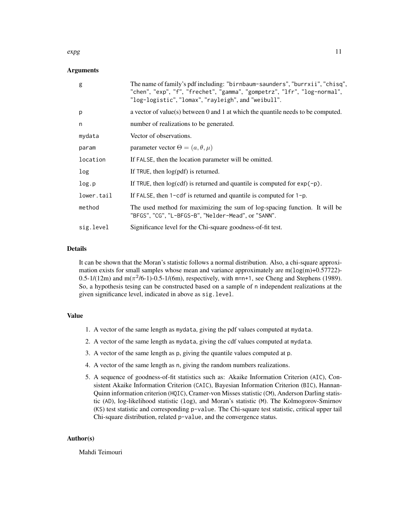#### $\exp$ g 11

#### Arguments

| g          | The name of family's pdf including: "birnbaum-saunders", "burrxii", "chisq",<br>"chen", "exp", "f", "frechet", "gamma", "gompetrz", "lfr", "log-normal",<br>"log-logistic", "lomax", "rayleigh", and "weibull". |
|------------|-----------------------------------------------------------------------------------------------------------------------------------------------------------------------------------------------------------------|
| p          | a vector of value(s) between 0 and 1 at which the quantile needs to be computed.                                                                                                                                |
| n          | number of realizations to be generated.                                                                                                                                                                         |
| mydata     | Vector of observations.                                                                                                                                                                                         |
| param      | parameter vector $\Theta = (a, \theta, \mu)$                                                                                                                                                                    |
| location   | If FALSE, then the location parameter will be omitted.                                                                                                                                                          |
| log        | If TRUE, then $log(pdf)$ is returned.                                                                                                                                                                           |
| log.p      | If TRUE, then $log(cd)$ is returned and quantile is computed for $exp(-p)$ .                                                                                                                                    |
| lower.tail | If FALSE, then $1$ -cdf is returned and quantile is computed for $1-p$ .                                                                                                                                        |
| method     | The used method for maximizing the sum of log-spacing function. It will be<br>"BFGS", "CG", "L-BFGS-B", "Nelder-Mead", or "SANN".                                                                               |
| sig.level  | Significance level for the Chi-square goodness-of-fit test.                                                                                                                                                     |

#### Details

It can be shown that the Moran's statistic follows a normal distribution. Also, a chi-square approximation exists for small samples whose mean and variance approximately are  $m(\log(m)+0.57722)$ -0.5-1/(12m) and m( $\pi^2/6$ -1)-0.5-1/(6m), respectively, with m=n+1, see Cheng and Stephens (1989). So, a hypothesis tesing can be constructed based on a sample of n independent realizations at the given significance level, indicated in above as sig.level.

#### Value

- 1. A vector of the same length as mydata, giving the pdf values computed at mydata.
- 2. A vector of the same length as mydata, giving the cdf values computed at mydata.
- 3. A vector of the same length as p, giving the quantile values computed at p.
- 4. A vector of the same length as n, giving the random numbers realizations.
- 5. A sequence of goodness-of-fit statistics such as: Akaike Information Criterion (AIC), Consistent Akaike Information Criterion (CAIC), Bayesian Information Criterion (BIC), Hannan-Quinn information criterion (HQIC), Cramer-von Misses statistic (CM), Anderson Darling statistic (AD), log-likelihood statistic (log), and Moran's statistic (M). The Kolmogorov-Smirnov (KS) test statistic and corresponding p-value. The Chi-square test statistic, critical upper tail Chi-square distribution, related p-value, and the convergence status.

#### Author(s)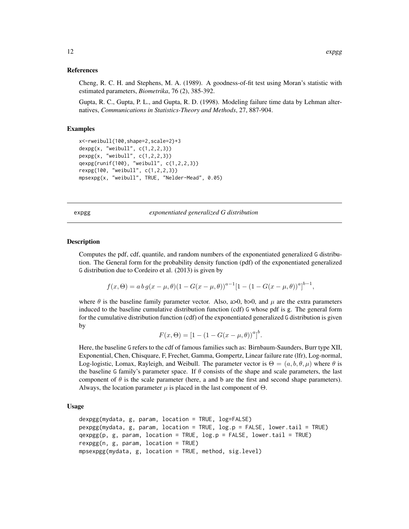,

#### <span id="page-11-0"></span>References

Cheng, R. C. H. and Stephens, M. A. (1989). A goodness-of-fit test using Moran's statistic with estimated parameters, *Biometrika*, 76 (2), 385-392.

Gupta, R. C., Gupta, P. L., and Gupta, R. D. (1998). Modeling failure time data by Lehman alternatives, *Communications in Statistics-Theory and Methods*, 27, 887-904.

#### Examples

```
x<-rweibull(100,shape=2,scale=2)+3
dexpg(x, "weibull", c(1,2,2,3))
pexpg(x, "weibull", c(1,2,2,3))
qexpg(runif(100), "weibull", c(1,2,2,3))
rexpg(100, "weibull", c(1,2,2,3))
mpsexpg(x, "weibull", TRUE, "Nelder-Mead", 0.05)
```
expgg *exponentiated generalized G distribution*

#### Description

Computes the pdf, cdf, quantile, and random numbers of the exponentiated generalized G distribution. The General form for the probability density function (pdf) of the exponentiated generalized G distribution due to Cordeiro et al. (2013) is given by

$$
f(x, \Theta) = a b g(x - \mu, \theta) (1 - G(x - \mu, \theta))^{a-1} [1 - (1 - G(x - \mu, \theta))^{a}]^{b-1}
$$

where  $\theta$  is the baseline family parameter vector. Also, a>0, b>0, and  $\mu$  are the extra parameters induced to the baseline cumulative distribution function (cdf) G whose pdf is g. The general form for the cumulative distribution function (cdf) of the exponentiated generalized G distribution is given by

$$
F(x, \Theta) = [1 - (1 - G(x - \mu, \theta))^a]^b.
$$

Here, the baseline G refers to the cdf of famous families such as: Birnbaum-Saunders, Burr type XII, Exponential, Chen, Chisquare, F, Frechet, Gamma, Gompertz, Linear failure rate (lfr), Log-normal, Log-logistic, Lomax, Rayleigh, and Weibull. The parameter vector is  $\Theta = (a, b, \theta, \mu)$  where  $\theta$  is the baseline G family's parameter space. If  $\theta$  consists of the shape and scale parameters, the last component of  $\theta$  is the scale parameter (here, a and b are the first and second shape parameters). Always, the location parameter  $\mu$  is placed in the last component of  $\Theta$ .

```
dexpgg(mydata, g, param, location = TRUE, log=FALSE)
pexpgg(mydata, g, param, location = TRUE, log.p = FALSE, lower.tail = TRUE)
qexpgg(p, g, param, location = TRUE, log.p = FALSE, lower.tail = TRUE)
rexpgg(n, g, param, location = TRUE)
mpsexpgg(mydata, g, location = TRUE, method, sig.level)
```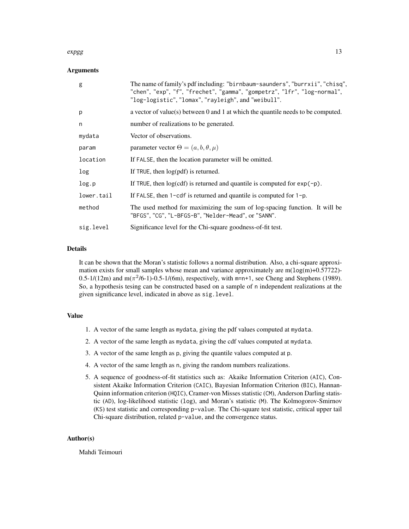#### $\exp g$  13

#### Arguments

| g          | The name of family's pdf including: "birnbaum-saunders", "burrxii", "chisq",<br>"chen", "exp", "f", "frechet", "gamma", "gompetrz", "lfr", "log-normal",<br>"log-logistic", "lomax", "rayleigh", and "weibull". |
|------------|-----------------------------------------------------------------------------------------------------------------------------------------------------------------------------------------------------------------|
| p          | a vector of value(s) between 0 and 1 at which the quantile needs to be computed.                                                                                                                                |
| n          | number of realizations to be generated.                                                                                                                                                                         |
| mydata     | Vector of observations.                                                                                                                                                                                         |
| param      | parameter vector $\Theta = (a, b, \theta, \mu)$                                                                                                                                                                 |
| location   | If FALSE, then the location parameter will be omitted.                                                                                                                                                          |
| log        | If TRUE, then $log(pdf)$ is returned.                                                                                                                                                                           |
| log.p      | If TRUE, then $log(cd)$ is returned and quantile is computed for $exp(-p)$ .                                                                                                                                    |
| lower.tail | If FALSE, then $1$ -cdf is returned and quantile is computed for $1-p$ .                                                                                                                                        |
| method     | The used method for maximizing the sum of log-spacing function. It will be<br>"BFGS", "CG", "L-BFGS-B", "Nelder-Mead", or "SANN".                                                                               |
| sig.level  | Significance level for the Chi-square goodness-of-fit test.                                                                                                                                                     |

#### Details

It can be shown that the Moran's statistic follows a normal distribution. Also, a chi-square approximation exists for small samples whose mean and variance approximately are  $m(\log(m)+0.57722)$ -0.5-1/(12m) and m( $\pi^2/6$ -1)-0.5-1/(6m), respectively, with m=n+1, see Cheng and Stephens (1989). So, a hypothesis tesing can be constructed based on a sample of n independent realizations at the given significance level, indicated in above as sig.level.

#### Value

- 1. A vector of the same length as mydata, giving the pdf values computed at mydata.
- 2. A vector of the same length as mydata, giving the cdf values computed at mydata.
- 3. A vector of the same length as p, giving the quantile values computed at p.
- 4. A vector of the same length as n, giving the random numbers realizations.
- 5. A sequence of goodness-of-fit statistics such as: Akaike Information Criterion (AIC), Consistent Akaike Information Criterion (CAIC), Bayesian Information Criterion (BIC), Hannan-Quinn information criterion (HQIC), Cramer-von Misses statistic (CM), Anderson Darling statistic (AD), log-likelihood statistic (log), and Moran's statistic (M). The Kolmogorov-Smirnov (KS) test statistic and corresponding p-value. The Chi-square test statistic, critical upper tail Chi-square distribution, related p-value, and the convergence status.

#### Author(s)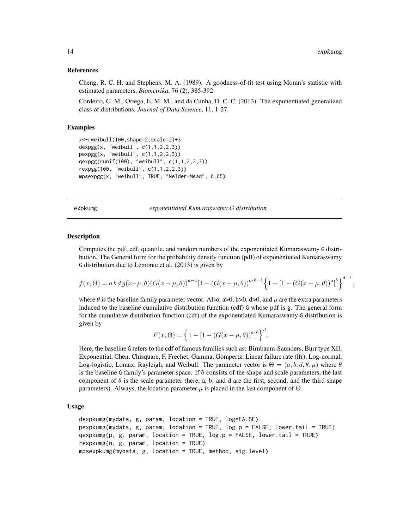<span id="page-13-0"></span>Cheng, R. C. H. and Stephens, M. A. (1989). A goodness-of-fit test using Moran's statistic with estimated parameters, *Biometrika*, 76 (2), 385-392.

Cordeiro, G. M., Ortega, E. M. M., and da Cunha, D. C. C. (2013). The exponentiated generalized class of distributions, *Journal of Data Science*, 11, 1-27.

#### Examples

```
x<-rweibull(100,shape=2,scale=2)+3
dexpgg(x, "weibull", c(1,1,2,2,3))
pexpgg(x, "weibull", c(1,1,2,2,3))qexpgg(runif(100), "weibull", c(1,1,2,2,3))
rexpgg(100, "weibull", c(1,1,2,2,3))
mpsexpgg(x, "weibull", TRUE, "Nelder-Mead", 0.05)
```
expkumg *exponentiated Kumaraswamy G distribution*

#### Description

Computes the pdf, cdf, quantile, and random numbers of the exponentiated Kumaraswamy G distribution. The General form for the probability density function (pdf) of exponentiated Kumaraswamy G distribution due to Lemonte et al. (2013) is given by

$$
f(x,\Theta) = a b d g (x-\mu,\theta) (G(x-\mu,\theta))^{a-1} [1 - (G(x-\mu,\theta))^{a}]^{b-1} \Big\{ 1 - [1 - (G(x-\mu,\theta))^{a}]^{b} \Big\}^{d-1},
$$

where  $\theta$  is the baseline family parameter vector. Also, a > 0, b > 0, d > 0, and  $\mu$  are the extra parameters induced to the baseline cumulative distribution function (cdf) G whose pdf is g. The general form for the cumulative distribution function (cdf) of the exponentiated Kumaraswamy G distribution is given by

$$
F(x, \Theta) = \left\{ 1 - [1 - (G(x - \mu, \theta))^{a}]^{b} \right\}^{d}.
$$

Here, the baseline G refers to the cdf of famous families such as: Birnbaum-Saunders, Burr type XII, Exponential, Chen, Chisquare, F, Frechet, Gamma, Gompertz, Linear failure rate (lfr), Log-normal, Log-logistic, Lomax, Rayleigh, and Weibull. The parameter vector is  $\Theta = (a, b, d, \theta, \mu)$  where  $\theta$ is the baseline G family's parameter space. If  $\theta$  consists of the shape and scale parameters, the last component of  $\theta$  is the scale parameter (here, a, b, and d are the first, second, and the third shape parameters). Always, the location parameter  $\mu$  is placed in the last component of  $\Theta$ .

```
dexpkumg(mydata, g, param, location = TRUE, log=FALSE)
pexpkumg(mydata, g, param, location = TRUE, log.p = FALSE, lower.tail = TRUE)
qexpkumg(p, g, param, location = TRUE, log.p = FALSE, lower.tail = TRUE)
rexpkumg(n, g, param, location = TRUE)
mpsexpkumg(mydata, g, location = TRUE, method, sig.level)
```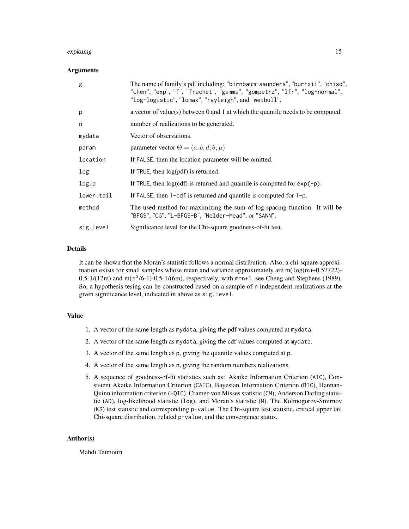#### expkumg that the state of the state of the state of the state of the state of the state of the state of the state of the state of the state of the state of the state of the state of the state of the state of the state of t

#### Arguments

| g          | The name of family's pdf including: "birnbaum-saunders", "burrxii", "chisq",<br>"chen", "exp", "f", "frechet", "gamma", "gompetrz", "lfr", "log-normal",<br>"log-logistic", "lomax", "rayleigh", and "weibull". |
|------------|-----------------------------------------------------------------------------------------------------------------------------------------------------------------------------------------------------------------|
| p          | a vector of value(s) between 0 and 1 at which the quantile needs to be computed.                                                                                                                                |
| n          | number of realizations to be generated.                                                                                                                                                                         |
| mydata     | Vector of observations.                                                                                                                                                                                         |
| param      | parameter vector $\Theta = (a, b, d, \theta, \mu)$                                                                                                                                                              |
| location   | If FALSE, then the location parameter will be omitted.                                                                                                                                                          |
| log        | If TRUE, then $log(pdf)$ is returned.                                                                                                                                                                           |
| log.p      | If TRUE, then $log(cdf)$ is returned and quantile is computed for $exp(-p)$ .                                                                                                                                   |
| lower.tail | If FALSE, then $1$ -cdf is returned and quantile is computed for $1-p$ .                                                                                                                                        |
| method     | The used method for maximizing the sum of log-spacing function. It will be<br>"BFGS", "CG", "L-BFGS-B", "Nelder-Mead", or "SANN".                                                                               |
| sig.level  | Significance level for the Chi-square goodness-of-fit test.                                                                                                                                                     |

#### Details

It can be shown that the Moran's statistic follows a normal distribution. Also, a chi-square approximation exists for small samples whose mean and variance approximately are  $m(\log(m)+0.57722)$ -0.5-1/(12m) and m( $\pi^2/6$ -1)-0.5-1/(6m), respectively, with m=n+1, see Cheng and Stephens (1989). So, a hypothesis tesing can be constructed based on a sample of n independent realizations at the given significance level, indicated in above as sig.level.

#### Value

- 1. A vector of the same length as mydata, giving the pdf values computed at mydata.
- 2. A vector of the same length as mydata, giving the cdf values computed at mydata.
- 3. A vector of the same length as p, giving the quantile values computed at p.
- 4. A vector of the same length as n, giving the random numbers realizations.
- 5. A sequence of goodness-of-fit statistics such as: Akaike Information Criterion (AIC), Consistent Akaike Information Criterion (CAIC), Bayesian Information Criterion (BIC), Hannan-Quinn information criterion (HQIC), Cramer-von Misses statistic (CM), Anderson Darling statistic (AD), log-likelihood statistic (log), and Moran's statistic (M). The Kolmogorov-Smirnov (KS) test statistic and corresponding p-value. The Chi-square test statistic, critical upper tail Chi-square distribution, related p-value, and the convergence status.

#### Author(s)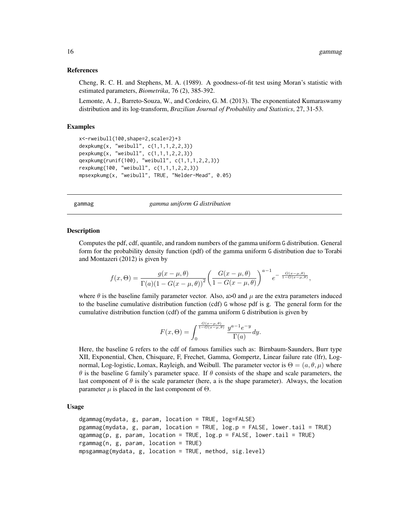<span id="page-15-0"></span>Cheng, R. C. H. and Stephens, M. A. (1989). A goodness-of-fit test using Moran's statistic with estimated parameters, *Biometrika*, 76 (2), 385-392.

Lemonte, A. J., Barreto-Souza, W., and Cordeiro, G. M. (2013). The exponentiated Kumaraswamy distribution and its log-transform, *Brazilian Journal of Probability and Statistics*, 27, 31-53.

#### Examples

```
x<-rweibull(100,shape=2,scale=2)+3
dexpkumg(x, "weibull", c(1,1,1,2,2,3))
pexpkumg(x, "weibull", c(1,1,1,2,2,3))
qexpkumg(runif(100), "weibull", c(1,1,1,2,2,3))
rexpkumg(100, "weibull", c(1,1,1,2,2,3))
mpsexpkumg(x, "weibull", TRUE, "Nelder-Mead", 0.05)
```
gammag *gamma uniform G distribution*

#### **Description**

Computes the pdf, cdf, quantile, and random numbers of the gamma uniform G distribution. General form for the probability density function (pdf) of the gamma uniform G distribution due to Torabi and Montazeri (2012) is given by

$$
f(x,\Theta) = \frac{g(x-\mu,\theta)}{\Gamma(a)(1-G(x-\mu,\theta))^2} \left(\frac{G(x-\mu,\theta)}{1-G(x-\mu,\theta)}\right)^{a-1} e^{-\frac{G(x-\mu,\theta)}{1-G(x-\mu,\theta)}},
$$

where  $\theta$  is the baseline family parameter vector. Also, a>0 and  $\mu$  are the extra parameters induced to the baseline cumulative distribution function (cdf) G whose pdf is g. The general form for the cumulative distribution function (cdf) of the gamma uniform G distribution is given by

$$
F(x,\Theta) = \int_0^{\frac{G(x-\mu,\theta)}{1-G(x-\mu,\theta)}} \frac{y^{a-1}e^{-y}}{\Gamma(a)} dy.
$$

Here, the baseline G refers to the cdf of famous families such as: Birnbaum-Saunders, Burr type XII, Exponential, Chen, Chisquare, F, Frechet, Gamma, Gompertz, Linear failure rate (lfr), Lognormal, Log-logistic, Lomax, Rayleigh, and Weibull. The parameter vector is  $\Theta = (a, \theta, \mu)$  where  $\theta$  is the baseline G family's parameter space. If  $\theta$  consists of the shape and scale parameters, the last component of  $\theta$  is the scale parameter (here, a is the shape parameter). Always, the location parameter  $\mu$  is placed in the last component of  $\Theta$ .

```
dgammag(mydata, g, param, location = TRUE, log=FALSE)
pgammag(mydata, g, param, location = TRUE, log.p = FALSE, lower.tail = TRUE)
qgammag(p, g, param, location = TRUE, log.p = FALSE, lowern0; and TRUE)rgammag(n, g, param, location = TRUE)
mpsgammag(mydata, g, location = TRUE, method, sig.level)
```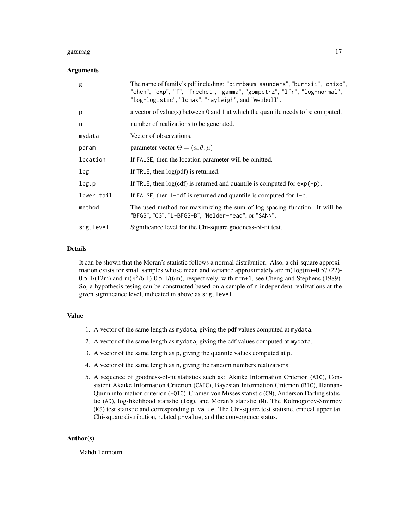#### gammag ang kalendaryon ng mga 17 may 2008. Ang kalendaryon ng mga 17 may 2008 na kalendaryon ng mga 17

#### Arguments

| g          | The name of family's pdf including: "birnbaum-saunders", "burrxii", "chisq",<br>"chen", "exp", "f", "frechet", "gamma", "gompetrz", "lfr", "log-normal",<br>"log-logistic", "lomax", "rayleigh", and "weibull". |
|------------|-----------------------------------------------------------------------------------------------------------------------------------------------------------------------------------------------------------------|
| p          | a vector of value(s) between 0 and 1 at which the quantile needs to be computed.                                                                                                                                |
| n          | number of realizations to be generated.                                                                                                                                                                         |
| mydata     | Vector of observations.                                                                                                                                                                                         |
| param      | parameter vector $\Theta = (a, \theta, \mu)$                                                                                                                                                                    |
| location   | If FALSE, then the location parameter will be omitted.                                                                                                                                                          |
| log        | If TRUE, then $log(pdf)$ is returned.                                                                                                                                                                           |
| log.p      | If TRUE, then $log(cd)$ is returned and quantile is computed for $exp(-p)$ .                                                                                                                                    |
| lower.tail | If FALSE, then $1$ -cdf is returned and quantile is computed for $1-p$ .                                                                                                                                        |
| method     | The used method for maximizing the sum of log-spacing function. It will be<br>"BFGS", "CG", "L-BFGS-B", "Nelder-Mead", or "SANN".                                                                               |
| sig.level  | Significance level for the Chi-square goodness-of-fit test.                                                                                                                                                     |

#### Details

It can be shown that the Moran's statistic follows a normal distribution. Also, a chi-square approximation exists for small samples whose mean and variance approximately are  $m(\log(m)+0.57722)$ -0.5-1/(12m) and m( $\pi^2/6$ -1)-0.5-1/(6m), respectively, with m=n+1, see Cheng and Stephens (1989). So, a hypothesis tesing can be constructed based on a sample of n independent realizations at the given significance level, indicated in above as sig.level.

#### Value

- 1. A vector of the same length as mydata, giving the pdf values computed at mydata.
- 2. A vector of the same length as mydata, giving the cdf values computed at mydata.
- 3. A vector of the same length as p, giving the quantile values computed at p.
- 4. A vector of the same length as n, giving the random numbers realizations.
- 5. A sequence of goodness-of-fit statistics such as: Akaike Information Criterion (AIC), Consistent Akaike Information Criterion (CAIC), Bayesian Information Criterion (BIC), Hannan-Quinn information criterion (HQIC), Cramer-von Misses statistic (CM), Anderson Darling statistic (AD), log-likelihood statistic (log), and Moran's statistic (M). The Kolmogorov-Smirnov (KS) test statistic and corresponding p-value. The Chi-square test statistic, critical upper tail Chi-square distribution, related p-value, and the convergence status.

#### Author(s)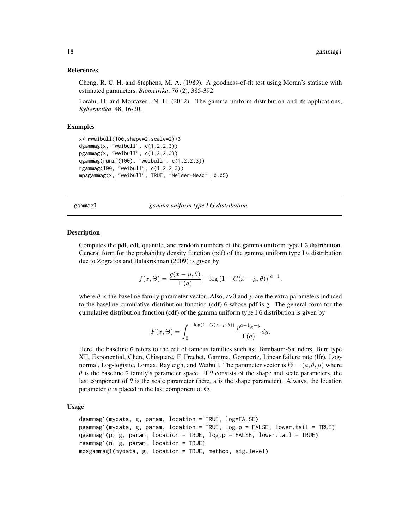<span id="page-17-0"></span>Cheng, R. C. H. and Stephens, M. A. (1989). A goodness-of-fit test using Moran's statistic with estimated parameters, *Biometrika*, 76 (2), 385-392.

Torabi, H. and Montazeri, N. H. (2012). The gamma uniform distribution and its applications, *Kybernetika*, 48, 16-30.

#### Examples

```
x<-rweibull(100,shape=2,scale=2)+3
dgammag(x, "weibull", c(1,2,2,3))
pgammag(x, "weibull", c(1,2,2,3))
qgammag(runif(100), "weibull", c(1,2,2,3))
rgammag(100, "weibull", c(1,2,2,3))
mpsgammag(x, "weibull", TRUE, "Nelder-Mead", 0.05)
```
gammag1 *gamma uniform type I G distribution*

#### Description

Computes the pdf, cdf, quantile, and random numbers of the gamma uniform type I G distribution. General form for the probability density function (pdf) of the gamma uniform type I G distribution due to Zografos and Balakrishnan (2009) is given by

$$
f(x, \Theta) = \frac{g(x - \mu, \theta)}{\Gamma(a)} [-\log(1 - G(x - \mu, \theta))]^{a - 1},
$$

where  $\theta$  is the baseline family parameter vector. Also, a>0 and  $\mu$  are the extra parameters induced to the baseline cumulative distribution function (cdf) G whose pdf is g. The general form for the cumulative distribution function (cdf) of the gamma uniform type I G distribution is given by

$$
F(x,\Theta) = \int_0^{-\log(1 - G(x-\mu,\theta))} \frac{y^{a-1}e^{-y}}{\Gamma(a)} dy.
$$

Here, the baseline G refers to the cdf of famous families such as: Birnbaum-Saunders, Burr type XII, Exponential, Chen, Chisquare, F, Frechet, Gamma, Gompertz, Linear failure rate (lfr), Lognormal, Log-logistic, Lomax, Rayleigh, and Weibull. The parameter vector is  $\Theta = (a, \theta, \mu)$  where  $\theta$  is the baseline G family's parameter space. If  $\theta$  consists of the shape and scale parameters, the last component of  $\theta$  is the scale parameter (here, a is the shape parameter). Always, the location parameter  $\mu$  is placed in the last component of  $\Theta$ .

```
dgammag1(mydata, g, param, location = TRUE, log=FALSE)
pgammag1(mydata, g, param, location = TRUE, log.p = FALSE, lower.tail = TRUE)
qgammag1(p, g, param, location = TRUE, log.p = FALSE, lowertail = TRUE)rgammag1(n, g, param, location = TRUE)
mpsgammag1(mydata, g, location = TRUE, method, sig.level)
```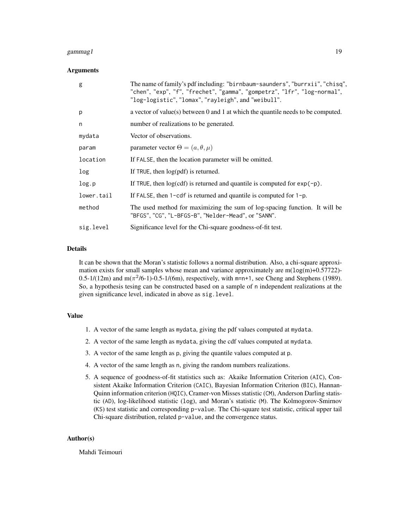#### gammag1 19

#### Arguments

| g          | The name of family's pdf including: "birnbaum-saunders", "burrxii", "chisq",<br>"chen", "exp", "f", "frechet", "gamma", "gompetrz", "lfr", "log-normal",<br>"log-logistic", "lomax", "rayleigh", and "weibull". |
|------------|-----------------------------------------------------------------------------------------------------------------------------------------------------------------------------------------------------------------|
| p          | a vector of value(s) between $0$ and $1$ at which the quantile needs to be computed.                                                                                                                            |
| n          | number of realizations to be generated.                                                                                                                                                                         |
| mydata     | Vector of observations.                                                                                                                                                                                         |
| param      | parameter vector $\Theta = (a, \theta, \mu)$                                                                                                                                                                    |
| location   | If FALSE, then the location parameter will be omitted.                                                                                                                                                          |
| log        | If TRUE, then $log(pdf)$ is returned.                                                                                                                                                                           |
| log.p      | If TRUE, then $log(cd)$ is returned and quantile is computed for $exp(-p)$ .                                                                                                                                    |
| lower.tail | If FALSE, then $1$ -cdf is returned and quantile is computed for $1-p$ .                                                                                                                                        |
| method     | The used method for maximizing the sum of log-spacing function. It will be<br>"BFGS", "CG", "L-BFGS-B", "Nelder-Mead", or "SANN".                                                                               |
| sig.level  | Significance level for the Chi-square goodness-of-fit test.                                                                                                                                                     |

#### Details

It can be shown that the Moran's statistic follows a normal distribution. Also, a chi-square approximation exists for small samples whose mean and variance approximately are  $m(\log(m)+0.57722)$ -0.5-1/(12m) and m( $\pi^2/6$ -1)-0.5-1/(6m), respectively, with m=n+1, see Cheng and Stephens (1989). So, a hypothesis tesing can be constructed based on a sample of n independent realizations at the given significance level, indicated in above as sig.level.

#### Value

- 1. A vector of the same length as mydata, giving the pdf values computed at mydata.
- 2. A vector of the same length as mydata, giving the cdf values computed at mydata.
- 3. A vector of the same length as p, giving the quantile values computed at p.
- 4. A vector of the same length as n, giving the random numbers realizations.
- 5. A sequence of goodness-of-fit statistics such as: Akaike Information Criterion (AIC), Consistent Akaike Information Criterion (CAIC), Bayesian Information Criterion (BIC), Hannan-Quinn information criterion (HQIC), Cramer-von Misses statistic (CM), Anderson Darling statistic (AD), log-likelihood statistic (log), and Moran's statistic (M). The Kolmogorov-Smirnov (KS) test statistic and corresponding p-value. The Chi-square test statistic, critical upper tail Chi-square distribution, related p-value, and the convergence status.

#### Author(s)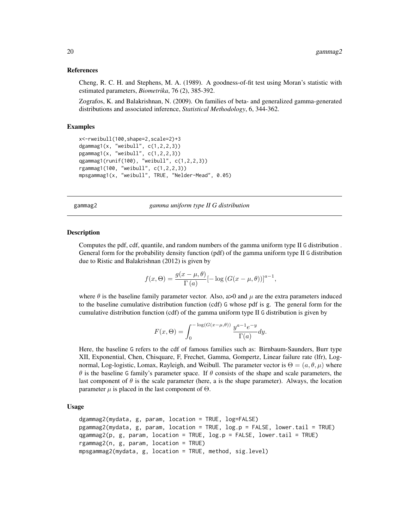<span id="page-19-0"></span>Cheng, R. C. H. and Stephens, M. A. (1989). A goodness-of-fit test using Moran's statistic with estimated parameters, *Biometrika*, 76 (2), 385-392.

Zografos, K. and Balakrishnan, N. (2009). On families of beta- and generalized gamma-generated distributions and associated inference, *Statistical Methodology*, 6, 344-362.

#### Examples

```
x<-rweibull(100,shape=2,scale=2)+3
dgammag1(x, "weibull", c(1,2,2,3))
pgammag1(x, "weibull", c(1,2,2,3))
qgammag1(runif(100), "weibull", c(1,2,2,3))
rgammag1(100, "weibull", c(1,2,2,3))
mpsgammag1(x, "weibull", TRUE, "Nelder-Mead", 0.05)
```
gammag2 *gamma uniform type II G distribution*

#### Description

Computes the pdf, cdf, quantile, and random numbers of the gamma uniform type II G distribution . General form for the probability density function (pdf) of the gamma uniform type II G distribution due to Ristic and Balakrishnan (2012) is given by

$$
f(x,\Theta) = \frac{g(x-\mu,\theta)}{\Gamma(a)} \left[-\log\left(G(x-\mu,\theta)\right)\right]^{a-1},
$$

where  $\theta$  is the baseline family parameter vector. Also, a>0 and  $\mu$  are the extra parameters induced to the baseline cumulative distribution function (cdf) G whose pdf is g. The general form for the cumulative distribution function (cdf) of the gamma uniform type II G distribution is given by

$$
F(x,\Theta) = \int_0^{-\log(G(x-\mu,\theta))} \frac{y^{a-1}e^{-y}}{\Gamma(a)} dy.
$$

Here, the baseline G refers to the cdf of famous families such as: Birnbaum-Saunders, Burr type XII, Exponential, Chen, Chisquare, F, Frechet, Gamma, Gompertz, Linear failure rate (lfr), Lognormal, Log-logistic, Lomax, Rayleigh, and Weibull. The parameter vector is  $\Theta = (a, \theta, \mu)$  where  $\theta$  is the baseline G family's parameter space. If  $\theta$  consists of the shape and scale parameters, the last component of  $\theta$  is the scale parameter (here, a is the shape parameter). Always, the location parameter  $\mu$  is placed in the last component of  $\Theta$ .

```
dgammag2(mydata, g, param, location = TRUE, log=FALSE)
pgammag2(mydata, g, param, location = TRUE, log.p = FALSE, lower.tail = TRUE)
qgammag2(p, g, param, location = TRUE, log.p = FALSE, lowertail = TRUE)rgammag2(n, g, param, location = TRUE)
mpsgammag2(mydata, g, location = TRUE, method, sig.level)
```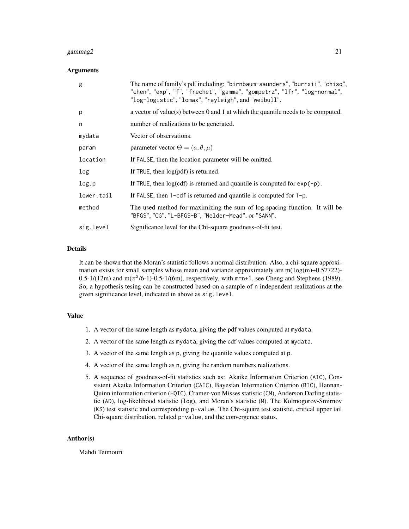#### gammag2 21  $\qquad$  21

#### Arguments

| g          | The name of family's pdf including: "birnbaum-saunders", "burrxii", "chisq",<br>"chen", "exp", "f", "frechet", "gamma", "gompetrz", "lfr", "log-normal",<br>"log-logistic", "lomax", "rayleigh", and "weibull". |
|------------|-----------------------------------------------------------------------------------------------------------------------------------------------------------------------------------------------------------------|
| p          | a vector of value(s) between 0 and 1 at which the quantile needs to be computed.                                                                                                                                |
| n          | number of realizations to be generated.                                                                                                                                                                         |
| mydata     | Vector of observations.                                                                                                                                                                                         |
| param      | parameter vector $\Theta = (a, \theta, \mu)$                                                                                                                                                                    |
| location   | If FALSE, then the location parameter will be omitted.                                                                                                                                                          |
| log        | If TRUE, then $log(pdf)$ is returned.                                                                                                                                                                           |
| log.p      | If TRUE, then $log(cd)$ is returned and quantile is computed for $exp(-p)$ .                                                                                                                                    |
| lower.tail | If FALSE, then $1$ -cdf is returned and quantile is computed for $1-p$ .                                                                                                                                        |
| method     | The used method for maximizing the sum of log-spacing function. It will be<br>"BFGS", "CG", "L-BFGS-B", "Nelder-Mead", or "SANN".                                                                               |
| sig.level  | Significance level for the Chi-square goodness-of-fit test.                                                                                                                                                     |

#### Details

It can be shown that the Moran's statistic follows a normal distribution. Also, a chi-square approximation exists for small samples whose mean and variance approximately are  $m(\log(m)+0.57722)$ -0.5-1/(12m) and m( $\pi^2/6$ -1)-0.5-1/(6m), respectively, with m=n+1, see Cheng and Stephens (1989). So, a hypothesis tesing can be constructed based on a sample of n independent realizations at the given significance level, indicated in above as sig.level.

#### Value

- 1. A vector of the same length as mydata, giving the pdf values computed at mydata.
- 2. A vector of the same length as mydata, giving the cdf values computed at mydata.
- 3. A vector of the same length as p, giving the quantile values computed at p.
- 4. A vector of the same length as n, giving the random numbers realizations.
- 5. A sequence of goodness-of-fit statistics such as: Akaike Information Criterion (AIC), Consistent Akaike Information Criterion (CAIC), Bayesian Information Criterion (BIC), Hannan-Quinn information criterion (HQIC), Cramer-von Misses statistic (CM), Anderson Darling statistic (AD), log-likelihood statistic (log), and Moran's statistic (M). The Kolmogorov-Smirnov (KS) test statistic and corresponding p-value. The Chi-square test statistic, critical upper tail Chi-square distribution, related p-value, and the convergence status.

#### Author(s)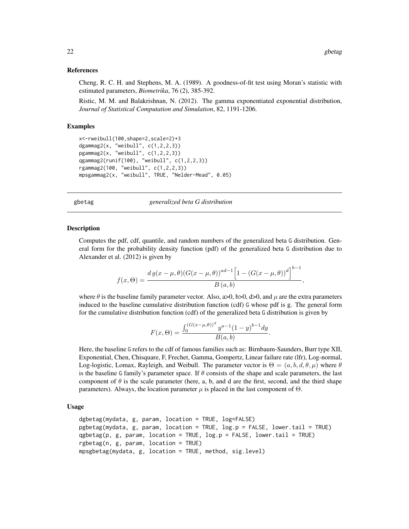<span id="page-21-0"></span>Cheng, R. C. H. and Stephens, M. A. (1989). A goodness-of-fit test using Moran's statistic with estimated parameters, *Biometrika*, 76 (2), 385-392.

Ristic, M. M. and Balakrishnan, N. (2012). The gamma exponentiated exponential distribution, *Journal of Statistical Computation and Simulation*, 82, 1191-1206.

#### Examples

```
x<-rweibull(100,shape=2,scale=2)+3
dgammag2(x, "weibull", c(1,2,2,3))
pgamma(2(x, "weibull", c(1,2,2,3)))qgammag2(runif(100), "weibull", c(1,2,2,3))
rgammag2(100, "weibull", c(1,2,2,3))
mpsgammag2(x, "weibull", TRUE, "Nelder-Mead", 0.05)
```
gbetag *generalized beta G distribution*

#### **Description**

Computes the pdf, cdf, quantile, and random numbers of the generalized beta G distribution. General form for the probability density function (pdf) of the generalized beta G distribution due to Alexander et al. (2012) is given by

$$
f(x,\Theta) = \frac{d g(x-\mu,\theta) (G(x-\mu,\theta))^{ad-1} [1 - (G(x-\mu,\theta))^{d}]^{b-1}}{B(a,b)},
$$

where  $\theta$  is the baseline family parameter vector. Also, a>0, b>0, d>0, and  $\mu$  are the extra parameters induced to the baseline cumulative distribution function (cdf) G whose pdf is g. The general form for the cumulative distribution function (cdf) of the generalized beta G distribution is given by

$$
F(x,\Theta) = \frac{\int_0^{(G(x-\mu,\theta))^d} y^{a-1} (1-y)^{b-1} dy}{B(a,b)}.
$$

Here, the baseline G refers to the cdf of famous families such as: Birnbaum-Saunders, Burr type XII, Exponential, Chen, Chisquare, F, Frechet, Gamma, Gompertz, Linear failure rate (lfr), Log-normal, Log-logistic, Lomax, Rayleigh, and Weibull. The parameter vector is  $\Theta = (a, b, d, \theta, \mu)$  where  $\theta$ is the baseline G family's parameter space. If  $\theta$  consists of the shape and scale parameters, the last component of  $\theta$  is the scale parameter (here, a, b, and d are the first, second, and the third shape parameters). Always, the location parameter  $\mu$  is placed in the last component of  $\Theta$ .

```
dgbetag(mydata, g, param, location = TRUE, log=FALSE)
pgbetag(mydata, g, param, location = TRUE, log.p = FALSE, lower.tail = TRUE)
qgbetag(p, g, param, location = TRUE, log.p = FALSE, lower.tail = TRUE)
rgbetag(n, g, param, location = TRUE)
mpsgbetag(mydata, g, location = TRUE, method, sig.level)
```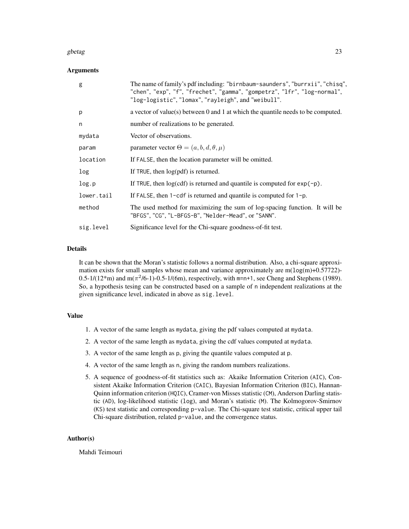#### gbetag i 23 metatra. Personalitan ing kabupatèn karena di kacamatan personalitan ke 23 metatra. Personalitan k

#### Arguments

| g          | The name of family's pdf including: "birnbaum-saunders", "burrxii", "chisq",<br>"chen", "exp", "f", "frechet", "gamma", "gompetrz", "lfr", "log-normal",<br>"log-logistic", "lomax", "rayleigh", and "weibull". |
|------------|-----------------------------------------------------------------------------------------------------------------------------------------------------------------------------------------------------------------|
| p          | a vector of value(s) between 0 and 1 at which the quantile needs to be computed.                                                                                                                                |
| n          | number of realizations to be generated.                                                                                                                                                                         |
| mydata     | Vector of observations.                                                                                                                                                                                         |
| param      | parameter vector $\Theta = (a, b, d, \theta, \mu)$                                                                                                                                                              |
| location   | If FALSE, then the location parameter will be omitted.                                                                                                                                                          |
| log        | If TRUE, then $log(pdf)$ is returned.                                                                                                                                                                           |
| log.p      | If TRUE, then $log(cd)$ is returned and quantile is computed for $exp(-p)$ .                                                                                                                                    |
| lower.tail | If FALSE, then $1$ -cdf is returned and quantile is computed for $1-p$ .                                                                                                                                        |
| method     | The used method for maximizing the sum of log-spacing function. It will be<br>"BFGS", "CG", "L-BFGS-B", "Nelder-Mead", or "SANN".                                                                               |
| sig.level  | Significance level for the Chi-square goodness-of-fit test.                                                                                                                                                     |

#### Details

It can be shown that the Moran's statistic follows a normal distribution. Also, a chi-square approximation exists for small samples whose mean and variance approximately are  $m(\log(m)+0.57722)$ - $0.5-1/(12*$ m) and m( $\pi^2/6-1$ )-0.5-1/(6m), respectively, with m=n+1, see Cheng and Stephens (1989). So, a hypothesis tesing can be constructed based on a sample of n independent realizations at the given significance level, indicated in above as sig.level.

#### Value

- 1. A vector of the same length as mydata, giving the pdf values computed at mydata.
- 2. A vector of the same length as mydata, giving the cdf values computed at mydata.
- 3. A vector of the same length as p, giving the quantile values computed at p.
- 4. A vector of the same length as n, giving the random numbers realizations.
- 5. A sequence of goodness-of-fit statistics such as: Akaike Information Criterion (AIC), Consistent Akaike Information Criterion (CAIC), Bayesian Information Criterion (BIC), Hannan-Quinn information criterion (HQIC), Cramer-von Misses statistic (CM), Anderson Darling statistic (AD), log-likelihood statistic (log), and Moran's statistic (M). The Kolmogorov-Smirnov (KS) test statistic and corresponding p-value. The Chi-square test statistic, critical upper tail Chi-square distribution, related p-value, and the convergence status.

#### Author(s)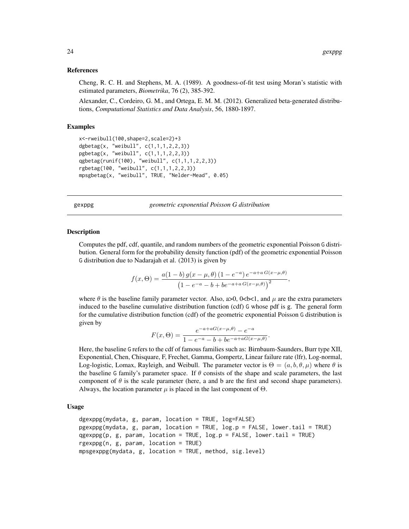<span id="page-23-0"></span>Cheng, R. C. H. and Stephens, M. A. (1989). A goodness-of-fit test using Moran's statistic with estimated parameters, *Biometrika*, 76 (2), 385-392.

Alexander, C., Cordeiro, G. M., and Ortega, E. M. M. (2012). Generalized beta-generated distributions, *Computational Statistics and Data Analysis*, 56, 1880-1897.

#### Examples

```
x<-rweibull(100,shape=2,scale=2)+3
dgbetag(x, "weibull", c(1,1,1,2,2,3))
pgbetag(x, "weibull", c(1,1,1,2,2,3))
qgbetag(runif(100), "weibull", c(1,1,1,2,2,3))
rgbetag(100, "weibull", c(1,1,1,2,2,3))
mpsgbetag(x, "weibull", TRUE, "Nelder-Mead", 0.05)
```
gexppg *geometric exponential Poisson G distribution*

#### Description

Computes the pdf, cdf, quantile, and random numbers of the geometric exponential Poisson G distribution. General form for the probability density function (pdf) of the geometric exponential Poisson G distribution due to Nadarajah et al. (2013) is given by

$$
f(x,\Theta) = \frac{a(1-b) g(x-\mu,\theta) (1 - e^{-a}) e^{-a+a G(x-\mu,\theta)}}{(1 - e^{-a} - b + be^{-a+a G(x-\mu,\theta)})^2},
$$

where  $\theta$  is the baseline family parameter vector. Also, a>0, 0<br/>sb<1, and  $\mu$  are the extra parameters induced to the baseline cumulative distribution function (cdf) G whose pdf is g. The general form for the cumulative distribution function (cdf) of the geometric exponential Poisson G distribution is given by

$$
F(x, \Theta) = \frac{e^{-a + aG(x - \mu, \theta)} - e^{-a}}{1 - e^{-a} - b + be^{-a + aG(x - \mu, \theta)}}.
$$

Here, the baseline G refers to the cdf of famous families such as: Birnbaum-Saunders, Burr type XII, Exponential, Chen, Chisquare, F, Frechet, Gamma, Gompertz, Linear failure rate (lfr), Log-normal, Log-logistic, Lomax, Rayleigh, and Weibull. The parameter vector is  $\Theta = (a, b, \theta, \mu)$  where  $\theta$  is the baseline G family's parameter space. If  $\theta$  consists of the shape and scale parameters, the last component of  $\theta$  is the scale parameter (here, a and b are the first and second shape parameters). Always, the location parameter  $\mu$  is placed in the last component of  $\Theta$ .

```
dgexppg(mydata, g, param, location = TRUE, log=FALSE)
pgexppg(mydata, g, param, location = TRUE, log.p = FALSE, lower.tail = TRUE)
qgexppg(p, g, param, location = TRUE, log.p = FALSE, lowertail = TRUE)
rgexppg(n, g, param, location = TRUE)
mpsgexppg(mydata, g, location = TRUE, method, sig.level)
```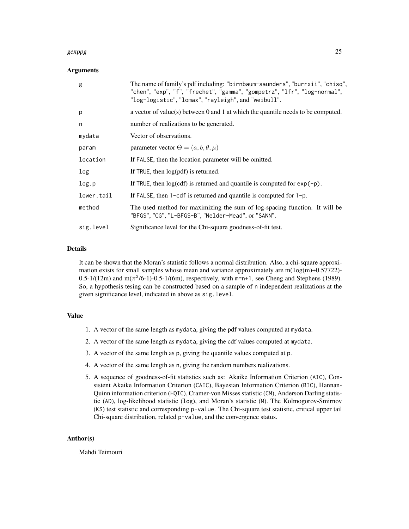#### gexppg 25

#### Arguments

| g          | The name of family's pdf including: "birnbaum-saunders", "burrxii", "chisq",<br>"chen", "exp", "f", "frechet", "gamma", "gompetrz", "lfr", "log-normal",<br>"log-logistic", "lomax", "rayleigh", and "weibull". |
|------------|-----------------------------------------------------------------------------------------------------------------------------------------------------------------------------------------------------------------|
| p          | a vector of value(s) between 0 and 1 at which the quantile needs to be computed.                                                                                                                                |
| n          | number of realizations to be generated.                                                                                                                                                                         |
| mydata     | Vector of observations.                                                                                                                                                                                         |
| param      | parameter vector $\Theta = (a, b, \theta, \mu)$                                                                                                                                                                 |
| location   | If FALSE, then the location parameter will be omitted.                                                                                                                                                          |
| log        | If TRUE, then $log(pdf)$ is returned.                                                                                                                                                                           |
| log.p      | If TRUE, then $log(cd)$ is returned and quantile is computed for $exp(-p)$ .                                                                                                                                    |
| lower.tail | If FALSE, then $1$ -cdf is returned and quantile is computed for $1-p$ .                                                                                                                                        |
| method     | The used method for maximizing the sum of log-spacing function. It will be<br>"BFGS", "CG", "L-BFGS-B", "Nelder-Mead", or "SANN".                                                                               |
| sig.level  | Significance level for the Chi-square goodness-of-fit test.                                                                                                                                                     |

#### Details

It can be shown that the Moran's statistic follows a normal distribution. Also, a chi-square approximation exists for small samples whose mean and variance approximately are  $m(\log(m)+0.57722)$ -0.5-1/(12m) and m( $\pi^2/6$ -1)-0.5-1/(6m), respectively, with m=n+1, see Cheng and Stephens (1989). So, a hypothesis tesing can be constructed based on a sample of n independent realizations at the given significance level, indicated in above as sig.level.

#### Value

- 1. A vector of the same length as mydata, giving the pdf values computed at mydata.
- 2. A vector of the same length as mydata, giving the cdf values computed at mydata.
- 3. A vector of the same length as p, giving the quantile values computed at p.
- 4. A vector of the same length as n, giving the random numbers realizations.
- 5. A sequence of goodness-of-fit statistics such as: Akaike Information Criterion (AIC), Consistent Akaike Information Criterion (CAIC), Bayesian Information Criterion (BIC), Hannan-Quinn information criterion (HQIC), Cramer-von Misses statistic (CM), Anderson Darling statistic (AD), log-likelihood statistic (log), and Moran's statistic (M). The Kolmogorov-Smirnov (KS) test statistic and corresponding p-value. The Chi-square test statistic, critical upper tail Chi-square distribution, related p-value, and the convergence status.

#### Author(s)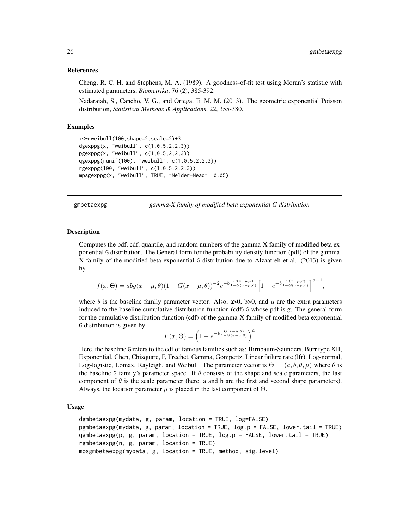<span id="page-25-0"></span>Cheng, R. C. H. and Stephens, M. A. (1989). A goodness-of-fit test using Moran's statistic with estimated parameters, *Biometrika*, 76 (2), 385-392.

Nadarajah, S., Cancho, V. G., and Ortega, E. M. M. (2013). The geometric exponential Poisson distribution, *Statistical Methods & Applications*, 22, 355-380.

#### Examples

```
x<-rweibull(100,shape=2,scale=2)+3
dgexppg(x, "weibull", c(1,0.5,2,2,3))
pgexppg(x, "weibull", c(1,0.5,2,2,3))
qgexppg(runif(100), "weibull", c(1,0.5,2,2,3))
rgexppg(100, "weibull", c(1,0.5,2,2,3))
mpsgexppg(x, "weibull", TRUE, "Nelder-Mead", 0.05)
```
gmbetaexpg *gamma-X family of modified beta exponential G distribution*

#### **Description**

Computes the pdf, cdf, quantile, and random numbers of the gamma-X family of modified beta exponential G distribution. The General form for the probability density function (pdf) of the gamma-X family of the modified beta exponential G distribution due to Alzaatreh et al. (2013) is given by

$$
f(x,\Theta) = abg(x-\mu,\theta)(1-G(x-\mu,\theta))^{-2}e^{-b\frac{G(x-\mu,\theta)}{1-G(x-\mu,\theta)}}\left[1-e^{-b\frac{G(x-\mu,\theta)}{1-G(x-\mu,\theta)}}\right]^{a-1},
$$

where  $\theta$  is the baseline family parameter vector. Also, a>0, b>0, and  $\mu$  are the extra parameters induced to the baseline cumulative distribution function (cdf) G whose pdf is g. The general form for the cumulative distribution function (cdf) of the gamma-X family of modified beta exponential G distribution is given by

$$
F(x,\Theta) = \left(1 - e^{-b\frac{G(x-\mu,\theta)}{1-G(x-\mu,\theta)}}\right)^a.
$$

Here, the baseline G refers to the cdf of famous families such as: Birnbaum-Saunders, Burr type XII, Exponential, Chen, Chisquare, F, Frechet, Gamma, Gompertz, Linear failure rate (lfr), Log-normal, Log-logistic, Lomax, Rayleigh, and Weibull. The parameter vector is  $\Theta = (a, b, \theta, \mu)$  where  $\theta$  is the baseline G family's parameter space. If  $\theta$  consists of the shape and scale parameters, the last component of  $\theta$  is the scale parameter (here, a and b are the first and second shape parameters). Always, the location parameter  $\mu$  is placed in the last component of  $\Theta$ .

```
dgmbetaexpg(mydata, g, param, location = TRUE, log=FALSE)
pgmbetaexpg(mydata, g, param, location = TRUE, log.p = FALSE, lower.tail = TRUE)
qgmbetaexpg(p, g, param, location = TRUE, log.p = FALSE, lower.tail = TRUE)
rgmbetaexpg(n, g, param, location = TRUE)
mpsgmbetaexpg(mydata, g, location = TRUE, method, sig.level)
```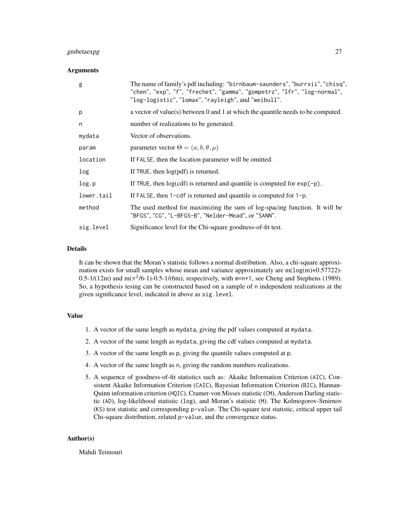#### gmbetaexpg 27

#### **Arguments**

| g          | The name of family's pdf including: "birnbaum-saunders", "burrxii", "chisq",<br>"chen", "exp", "f", "frechet", "gamma", "gompetrz", "lfr", "log-normal",<br>"log-logistic", "lomax", "rayleigh", and "weibull". |
|------------|-----------------------------------------------------------------------------------------------------------------------------------------------------------------------------------------------------------------|
| p          | a vector of value(s) between 0 and 1 at which the quantile needs to be computed.                                                                                                                                |
| n          | number of realizations to be generated.                                                                                                                                                                         |
| mydata     | Vector of observations.                                                                                                                                                                                         |
| param      | parameter vector $\Theta = (a, b, \theta, \mu)$                                                                                                                                                                 |
| location   | If FALSE, then the location parameter will be omitted.                                                                                                                                                          |
| log        | If TRUE, then $log(pdf)$ is returned.                                                                                                                                                                           |
| log.p      | If TRUE, then $log(cd)$ is returned and quantile is computed for $exp(-p)$ .                                                                                                                                    |
| lower.tail | If FALSE, then $1$ -cdf is returned and quantile is computed for $1-p$ .                                                                                                                                        |
| method     | The used method for maximizing the sum of log-spacing function. It will be<br>"BFGS", "CG", "L-BFGS-B", "Nelder-Mead", or "SANN".                                                                               |
| sig.level  | Significance level for the Chi-square goodness-of-fit test.                                                                                                                                                     |

#### Details

It can be shown that the Moran's statistic follows a normal distribution. Also, a chi-square approximation exists for small samples whose mean and variance approximately are  $m(\log(m)+0.57722)$ -0.5-1/(12m) and m( $\pi^2/6$ -1)-0.5-1/(6m), respectively, with m=n+1, see Cheng and Stephens (1989). So, a hypothesis tesing can be constructed based on a sample of n independent realizations at the given significance level, indicated in above as sig.level.

#### Value

- 1. A vector of the same length as mydata, giving the pdf values computed at mydata.
- 2. A vector of the same length as mydata, giving the cdf values computed at mydata.
- 3. A vector of the same length as p, giving the quantile values computed at p.
- 4. A vector of the same length as n, giving the random numbers realizations.
- 5. A sequence of goodness-of-fit statistics such as: Akaike Information Criterion (AIC), Consistent Akaike Information Criterion (CAIC), Bayesian Information Criterion (BIC), Hannan-Quinn information criterion (HQIC), Cramer-von Misses statistic (CM), Anderson Darling statistic (AD), log-likelihood statistic (log), and Moran's statistic (M). The Kolmogorov-Smirnov (KS) test statistic and corresponding p-value. The Chi-square test statistic, critical upper tail Chi-square distribution, related p-value, and the convergence status.

#### Author(s)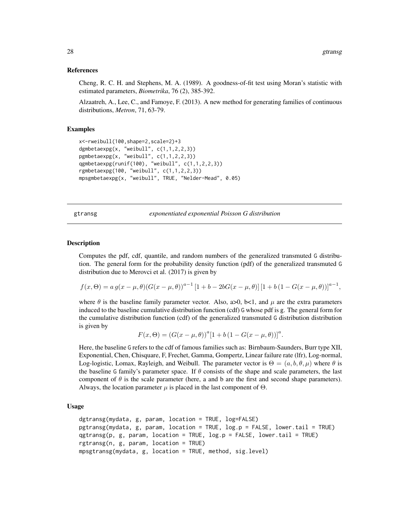,

#### <span id="page-27-0"></span>References

Cheng, R. C. H. and Stephens, M. A. (1989). A goodness-of-fit test using Moran's statistic with estimated parameters, *Biometrika*, 76 (2), 385-392.

Alzaatreh, A., Lee, C., and Famoye, F. (2013). A new method for generating families of continuous distributions, *Metron*, 71, 63-79.

#### Examples

```
x<-rweibull(100,shape=2,scale=2)+3
dgmbetaexpg(x, "weibull", c(1,1,2,2,3))
pgmbetaexpg(x, "weibull", c(1,1,2,2,3))
qgmbetaexpg(runif(100), "weibull", c(1,1,2,2,3))
rgmbetaexpg(100, "weibull", c(1,1,2,2,3))
mpsgmbetaexpg(x, "weibull", TRUE, "Nelder-Mead", 0.05)
```
gtransg *exponentiated exponential Poisson G distribution*

#### Description

Computes the pdf, cdf, quantile, and random numbers of the generalized transmuted G distribution. The general form for the probability density function (pdf) of the generalized transmuted G distribution due to Merovci et al. (2017) is given by

$$
f(x, \Theta) = a g(x - \mu, \theta) (G(x - \mu, \theta))^{a-1} [1 + b - 2bG(x - \mu, \theta)] [1 + b(1 - G(x - \mu, \theta))]^{a-1}
$$

where  $\theta$  is the baseline family parameter vector. Also, a>0, b<1, and  $\mu$  are the extra parameters induced to the baseline cumulative distribution function (cdf) G whose pdf is g. The general form for the cumulative distribution function (cdf) of the generalized transmuted G distribution distribution is given by

$$
F(x, \Theta) = (G(x - \mu, \theta))^a [1 + b (1 - G(x - \mu, \theta))]^a.
$$

Here, the baseline G refers to the cdf of famous families such as: Birnbaum-Saunders, Burr type XII, Exponential, Chen, Chisquare, F, Frechet, Gamma, Gompertz, Linear failure rate (lfr), Log-normal, Log-logistic, Lomax, Rayleigh, and Weibull. The parameter vector is  $\Theta = (a, b, \theta, \mu)$  where  $\theta$  is the baseline G family's parameter space. If  $\theta$  consists of the shape and scale parameters, the last component of  $\theta$  is the scale parameter (here, a and b are the first and second shape parameters). Always, the location parameter  $\mu$  is placed in the last component of  $\Theta$ .

```
dgtransg(mydata, g, param, location = TRUE, log=FALSE)
pgtransg(mydata, g, param, location = TRUE, log.p = FALSE, lower.tail = TRUE)
qgtransg(p, g, param, location = TRUE, log.p = FALSE, lower.tail = TRUE)
rgtransg(n, g, param, location = TRUE)
mpsgtransg(mydata, g, location = TRUE, method, sig.level)
```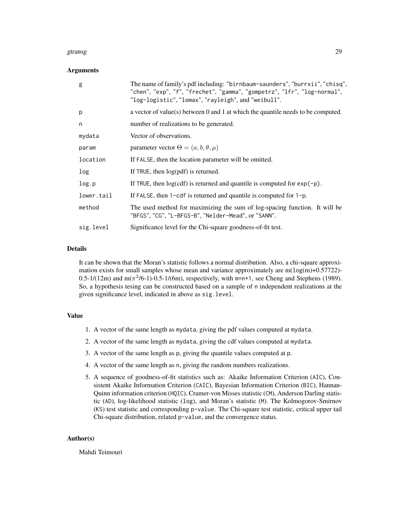#### gtransg 29

#### Arguments

| g          | The name of family's pdf including: "birnbaum-saunders", "burrxii", "chisq",<br>"chen", "exp", "f", "frechet", "gamma", "gompetrz", "lfr", "log-normal",<br>"log-logistic", "lomax", "rayleigh", and "weibull". |
|------------|-----------------------------------------------------------------------------------------------------------------------------------------------------------------------------------------------------------------|
| p          | a vector of value(s) between 0 and 1 at which the quantile needs to be computed.                                                                                                                                |
| n          | number of realizations to be generated.                                                                                                                                                                         |
| mydata     | Vector of observations.                                                                                                                                                                                         |
| param      | parameter vector $\Theta = (a, b, \theta, \mu)$                                                                                                                                                                 |
| location   | If FALSE, then the location parameter will be omitted.                                                                                                                                                          |
| log        | If TRUE, then $log(pdf)$ is returned.                                                                                                                                                                           |
| log.p      | If TRUE, then $log(cd)$ is returned and quantile is computed for $exp(-p)$ .                                                                                                                                    |
| lower.tail | If FALSE, then $1$ -cdf is returned and quantile is computed for $1-p$ .                                                                                                                                        |
| method     | The used method for maximizing the sum of log-spacing function. It will be<br>"BFGS", "CG", "L-BFGS-B", "Nelder-Mead", or "SANN".                                                                               |
| sig.level  | Significance level for the Chi-square goodness-of-fit test.                                                                                                                                                     |

#### Details

It can be shown that the Moran's statistic follows a normal distribution. Also, a chi-square approximation exists for small samples whose mean and variance approximately are  $m(\log(m)+0.57722)$ -0.5-1/(12m) and m( $\pi^2/6$ -1)-0.5-1/(6m), respectively, with m=n+1, see Cheng and Stephens (1989). So, a hypothesis tesing can be constructed based on a sample of n independent realizations at the given significance level, indicated in above as sig.level.

#### Value

- 1. A vector of the same length as mydata, giving the pdf values computed at mydata.
- 2. A vector of the same length as mydata, giving the cdf values computed at mydata.
- 3. A vector of the same length as p, giving the quantile values computed at p.
- 4. A vector of the same length as n, giving the random numbers realizations.
- 5. A sequence of goodness-of-fit statistics such as: Akaike Information Criterion (AIC), Consistent Akaike Information Criterion (CAIC), Bayesian Information Criterion (BIC), Hannan-Quinn information criterion (HQIC), Cramer-von Misses statistic (CM), Anderson Darling statistic (AD), log-likelihood statistic (log), and Moran's statistic (M). The Kolmogorov-Smirnov (KS) test statistic and corresponding p-value. The Chi-square test statistic, critical upper tail Chi-square distribution, related p-value, and the convergence status.

#### Author(s)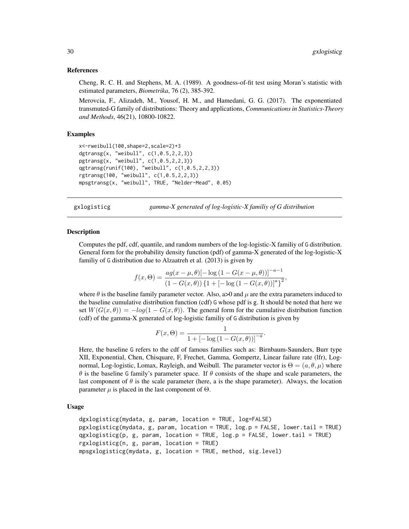Cheng, R. C. H. and Stephens, M. A. (1989). A goodness-of-fit test using Moran's statistic with estimated parameters, *Biometrika*, 76 (2), 385-392.

Merovcia, F., Alizadeh, M., Yousof, H. M., and Hamedani, G. G. (2017). The exponentiated transmuted-G family of distributions: Theory and applications, *Communications in Statistics-Theory and Methods*, 46(21), 10800-10822.

#### Examples

```
x<-rweibull(100,shape=2,scale=2)+3
dgtransg(x, "weibull", c(1,0.5,2,2,3))
pgtransg(x, "weibull", c(1,0.5,2,2,3))
qgtransg(runif(100), "weibull", c(1,0.5,2,2,3))
rgtransg(100, "weibull", c(1,0.5,2,2,3))
mpsgtransg(x, "weibull", TRUE, "Nelder-Mead", 0.05)
```
gxlogisticg *gamma-X generated of log-logistic-X familiy of G distribution*

#### Description

Computes the pdf, cdf, quantile, and random numbers of the log-logistic-X familiy of G distribution. General form for the probability density function (pdf) of gamma-X generated of the log-logistic-X familiy of G distribution due to Alzaatreh et al. (2013) is given by

$$
f(x,\Theta) = \frac{ag(x-\mu,\theta)[-\log(1-G(x-\mu,\theta))]^{-a-1}}{(1-G(x,\theta))\{1+[-\log(1-G(x,\theta))]^{a}\}^{2}},
$$

where  $\theta$  is the baseline family parameter vector. Also, a>0 and  $\mu$  are the extra parameters induced to the baseline cumulative distribution function (cdf) G whose pdf is g. It should be noted that here we set  $W(G(x, \theta)) = -log(1 - G(x, \theta))$ . The general form for the cumulative distribution function (cdf) of the gamma-X generated of log-logistic familiy of G distribution is given by

$$
F(x, \Theta) = \frac{1}{1 + [-\log(1 - G(x, \theta))]^{-a}}.
$$

Here, the baseline G refers to the cdf of famous families such as: Birnbaum-Saunders, Burr type XII, Exponential, Chen, Chisquare, F, Frechet, Gamma, Gompertz, Linear failure rate (lfr), Lognormal, Log-logistic, Lomax, Rayleigh, and Weibull. The parameter vector is  $\Theta = (a, \theta, \mu)$  where  $θ$  is the baseline G family's parameter space. If  $θ$  consists of the shape and scale parameters, the last component of  $\theta$  is the scale parameter (here, a is the shape parameter). Always, the location parameter  $\mu$  is placed in the last component of  $\Theta$ .

```
dgxlogisticg(mydata, g, param, location = TRUE, log=FALSE)
pgxlogisticg(mydata, g, param, location = TRUE, log.p = FALSE, lower.tail = TRUE)
qgxlogisticg(p, g, param, location = TRUE, log.p = FALSE, lower.tail = TRUE)
rgxlogisticg(n, g, param, location = TRUE)
mpsgxlogisticg(mydata, g, location = TRUE, method, sig.level)
```
<span id="page-29-0"></span>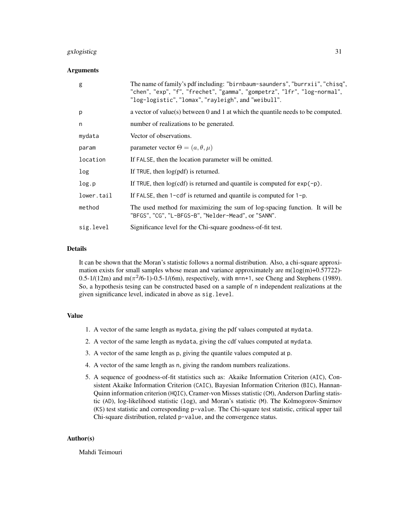#### gxlogisticg 31

#### Arguments

| g          | The name of family's pdf including: "birnbaum-saunders", "burrxii", "chisq",<br>"chen", "exp", "f", "frechet", "gamma", "gompetrz", "lfr", "log-normal",<br>"log-logistic", "lomax", "rayleigh", and "weibull". |
|------------|-----------------------------------------------------------------------------------------------------------------------------------------------------------------------------------------------------------------|
| p          | a vector of value(s) between $0$ and $1$ at which the quantile needs to be computed.                                                                                                                            |
| n          | number of realizations to be generated.                                                                                                                                                                         |
| mydata     | Vector of observations.                                                                                                                                                                                         |
| param      | parameter vector $\Theta = (a, \theta, \mu)$                                                                                                                                                                    |
| location   | If FALSE, then the location parameter will be omitted.                                                                                                                                                          |
| log        | If TRUE, then $log(pdf)$ is returned.                                                                                                                                                                           |
| log.p      | If TRUE, then $log(cd)$ is returned and quantile is computed for $exp(-p)$ .                                                                                                                                    |
| lower.tail | If FALSE, then $1$ -cdf is returned and quantile is computed for $1-p$ .                                                                                                                                        |
| method     | The used method for maximizing the sum of log-spacing function. It will be<br>"BFGS", "CG", "L-BFGS-B", "Nelder-Mead", or "SANN".                                                                               |
| sig.level  | Significance level for the Chi-square goodness-of-fit test.                                                                                                                                                     |

#### Details

It can be shown that the Moran's statistic follows a normal distribution. Also, a chi-square approximation exists for small samples whose mean and variance approximately are  $m(\log(m)+0.57722)$ -0.5-1/(12m) and m( $\pi^2/6$ -1)-0.5-1/(6m), respectively, with m=n+1, see Cheng and Stephens (1989). So, a hypothesis tesing can be constructed based on a sample of n independent realizations at the given significance level, indicated in above as sig.level.

#### Value

- 1. A vector of the same length as mydata, giving the pdf values computed at mydata.
- 2. A vector of the same length as mydata, giving the cdf values computed at mydata.
- 3. A vector of the same length as p, giving the quantile values computed at p.
- 4. A vector of the same length as n, giving the random numbers realizations.
- 5. A sequence of goodness-of-fit statistics such as: Akaike Information Criterion (AIC), Consistent Akaike Information Criterion (CAIC), Bayesian Information Criterion (BIC), Hannan-Quinn information criterion (HQIC), Cramer-von Misses statistic (CM), Anderson Darling statistic (AD), log-likelihood statistic (log), and Moran's statistic (M). The Kolmogorov-Smirnov (KS) test statistic and corresponding p-value. The Chi-square test statistic, critical upper tail Chi-square distribution, related p-value, and the convergence status.

#### Author(s)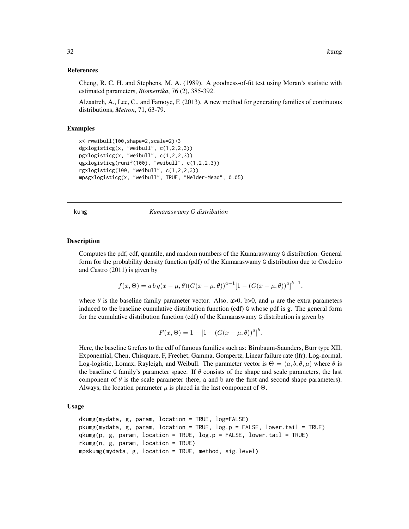<span id="page-31-0"></span>Cheng, R. C. H. and Stephens, M. A. (1989). A goodness-of-fit test using Moran's statistic with estimated parameters, *Biometrika*, 76 (2), 385-392.

Alzaatreh, A., Lee, C., and Famoye, F. (2013). A new method for generating families of continuous distributions, *Metron*, 71, 63-79.

#### Examples

```
x<-rweibull(100,shape=2,scale=2)+3
dgxlogisticg(x, "weibull", c(1,2,2,3))
pgxlogisticg(x, "weibull", c(1,2,2,3))
qgxlogisticg(runif(100), "weibull", c(1,2,2,3))
rgxlogisticg(100, "weibull", c(1,2,2,3))
mpsgxlogisticg(x, "weibull", TRUE, "Nelder-Mead", 0.05)
```
#### kumg *Kumaraswamy G distribution*

#### Description

Computes the pdf, cdf, quantile, and random numbers of the Kumaraswamy G distribution. General form for the probability density function (pdf) of the Kumaraswamy G distribution due to Cordeiro and Castro (2011) is given by

$$
f(x, \Theta) = a b g(x - \mu, \theta) (G(x - \mu, \theta))^{a-1} [1 - (G(x - \mu, \theta))^{a}]^{b-1},
$$

where  $\theta$  is the baseline family parameter vector. Also, a>0, b>0, and  $\mu$  are the extra parameters induced to the baseline cumulative distribution function (cdf) G whose pdf is g. The general form for the cumulative distribution function (cdf) of the Kumaraswamy G distribution is given by

$$
F(x, \Theta) = 1 - [1 - (G(x - \mu, \theta))^{a}]^{b}.
$$

Here, the baseline G refers to the cdf of famous families such as: Birnbaum-Saunders, Burr type XII, Exponential, Chen, Chisquare, F, Frechet, Gamma, Gompertz, Linear failure rate (lfr), Log-normal, Log-logistic, Lomax, Rayleigh, and Weibull. The parameter vector is  $\Theta = (a, b, \theta, \mu)$  where  $\theta$  is the baseline G family's parameter space. If  $\theta$  consists of the shape and scale parameters, the last component of  $\theta$  is the scale parameter (here, a and b are the first and second shape parameters). Always, the location parameter  $\mu$  is placed in the last component of  $\Theta$ .

```
dkumg(mydata, g, param, location = TRUE, log=FALSE)
pkumg(mydata, g, param, location = TRUE, log.p = FALSE, lower.tail = TRUE)
qkumg(p, g, param, location = TRUE, log.p = FALSE, lower.tail = TRUE)
rkumg(n, g, param, location = TRUE)
mpskumg(mydata, g, location = TRUE, method, sig.level)
```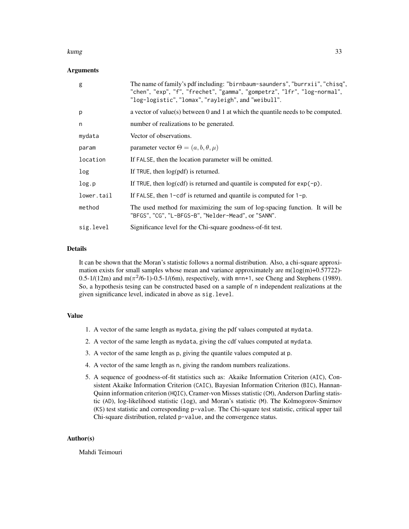#### kumg 33 setelah pada tahun 1980. Sebagai kecamatan ini sebagai kecamatan pada tahun 2008. Sebagai kecamatan ia

#### Arguments

| g          | The name of family's pdf including: "birnbaum-saunders", "burrxii", "chisq",<br>"chen", "exp", "f", "frechet", "gamma", "gompetrz", "lfr", "log-normal",<br>"log-logistic", "lomax", "rayleigh", and "weibull". |
|------------|-----------------------------------------------------------------------------------------------------------------------------------------------------------------------------------------------------------------|
| p          | a vector of value(s) between 0 and 1 at which the quantile needs to be computed.                                                                                                                                |
| n          | number of realizations to be generated.                                                                                                                                                                         |
| mydata     | Vector of observations.                                                                                                                                                                                         |
| param      | parameter vector $\Theta = (a, b, \theta, \mu)$                                                                                                                                                                 |
| location   | If FALSE, then the location parameter will be omitted.                                                                                                                                                          |
| log        | If TRUE, then $log(pdf)$ is returned.                                                                                                                                                                           |
| log.p      | If TRUE, then $log(cd)$ is returned and quantile is computed for $exp(-p)$ .                                                                                                                                    |
| lower.tail | If FALSE, then $1$ -cdf is returned and quantile is computed for $1-p$ .                                                                                                                                        |
| method     | The used method for maximizing the sum of log-spacing function. It will be<br>"BFGS", "CG", "L-BFGS-B", "Nelder-Mead", or "SANN".                                                                               |
| sig.level  | Significance level for the Chi-square goodness-of-fit test.                                                                                                                                                     |

#### Details

It can be shown that the Moran's statistic follows a normal distribution. Also, a chi-square approximation exists for small samples whose mean and variance approximately are  $m(\log(m)+0.57722)$ -0.5-1/(12m) and m( $\pi^2/6$ -1)-0.5-1/(6m), respectively, with m=n+1, see Cheng and Stephens (1989). So, a hypothesis tesing can be constructed based on a sample of n independent realizations at the given significance level, indicated in above as sig.level.

#### Value

- 1. A vector of the same length as mydata, giving the pdf values computed at mydata.
- 2. A vector of the same length as mydata, giving the cdf values computed at mydata.
- 3. A vector of the same length as p, giving the quantile values computed at p.
- 4. A vector of the same length as n, giving the random numbers realizations.
- 5. A sequence of goodness-of-fit statistics such as: Akaike Information Criterion (AIC), Consistent Akaike Information Criterion (CAIC), Bayesian Information Criterion (BIC), Hannan-Quinn information criterion (HQIC), Cramer-von Misses statistic (CM), Anderson Darling statistic (AD), log-likelihood statistic (log), and Moran's statistic (M). The Kolmogorov-Smirnov (KS) test statistic and corresponding p-value. The Chi-square test statistic, critical upper tail Chi-square distribution, related p-value, and the convergence status.

#### Author(s)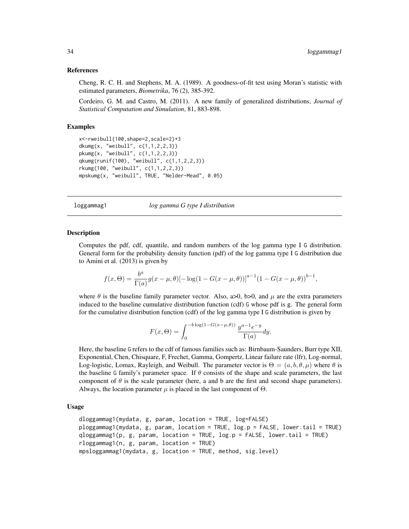<span id="page-33-0"></span>Cheng, R. C. H. and Stephens, M. A. (1989). A goodness-of-fit test using Moran's statistic with estimated parameters, *Biometrika*, 76 (2), 385-392.

Cordeiro, G. M. and Castro, M. (2011). A new family of generalized distributions, *Journal of Statistical Computation and Simulation*, 81, 883-898.

#### Examples

```
x<-rweibull(100,shape=2,scale=2)+3
dkumg(x, "weibull", c(1,1,2,2,3))
pkumg(x, "weibull", c(1,1,2,2,3))
qkumg(runif(100), "weibull", c(1,1,2,2,3))
rkumg(100, "weibull", c(1,1,2,2,3))
mpskumg(x, "weibull", TRUE, "Nelder-Mead", 0.05)
```
#### loggammag1 *log gamma G type I distribution*

#### **Description**

Computes the pdf, cdf, quantile, and random numbers of the log gamma type I G distribution. General form for the probability density function (pdf) of the log gamma type I G distribution due to Amini et al. (2013) is given by

$$
f(x,\Theta) = \frac{b^a}{\Gamma(a)}g(x-\mu,\theta)[-\log(1-G(x-\mu,\theta))]^{a-1}(1-G(x-\mu,\theta))^{b-1},
$$

where  $\theta$  is the baseline family parameter vector. Also, a>0, b>0, and  $\mu$  are the extra parameters induced to the baseline cumulative distribution function (cdf) G whose pdf is g. The general form for the cumulative distribution function (cdf) of the log gamma type I G distribution is given by

$$
F(x,\Theta) = \int_0^{-b\log(1-G(x-\mu,\theta))} \frac{y^{a-1}e^{-y}}{\Gamma(a)} dy.
$$

Here, the baseline G refers to the cdf of famous families such as: Birnbaum-Saunders, Burr type XII, Exponential, Chen, Chisquare, F, Frechet, Gamma, Gompertz, Linear failure rate (lfr), Log-normal, Log-logistic, Lomax, Rayleigh, and Weibull. The parameter vector is  $\Theta = (a, b, \theta, \mu)$  where  $\theta$  is the baseline G family's parameter space. If  $\theta$  consists of the shape and scale parameters, the last component of  $\theta$  is the scale parameter (here, a and b are the first and second shape parameters). Always, the location parameter  $\mu$  is placed in the last component of  $\Theta$ .

```
dloggammag1(mydata, g, param, location = TRUE, log=FALSE)
ploggammag1(mydata, g, param, location = TRUE, log.p = FALSE, lower.tail = TRUE)
qloggammag1(p, g, param, location = TRUE, log.p = FALSE, lower.tail = TRUE)
rloggammag1(n, g, param, location = TRUE)
mpsloggammag1(mydata, g, location = TRUE, method, sig.level)
```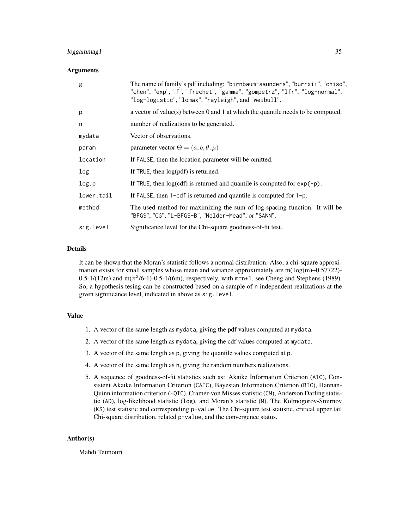#### loggammag1 35

#### **Arguments**

| g          | The name of family's pdf including: "birnbaum-saunders", "burrxii", "chisq",<br>"chen", "exp", "f", "frechet", "gamma", "gompetrz", "lfr", "log-normal",<br>"log-logistic", "lomax", "rayleigh", and "weibull". |
|------------|-----------------------------------------------------------------------------------------------------------------------------------------------------------------------------------------------------------------|
| p          | a vector of value(s) between 0 and 1 at which the quantile needs to be computed.                                                                                                                                |
| n          | number of realizations to be generated.                                                                                                                                                                         |
| mydata     | Vector of observations.                                                                                                                                                                                         |
| param      | parameter vector $\Theta = (a, b, \theta, \mu)$                                                                                                                                                                 |
| location   | If FALSE, then the location parameter will be omitted.                                                                                                                                                          |
| log        | If TRUE, then $log(pdf)$ is returned.                                                                                                                                                                           |
| log.p      | If TRUE, then $log(cd)$ is returned and quantile is computed for $exp(-p)$ .                                                                                                                                    |
| lower.tail | If FALSE, then $1$ -cdf is returned and quantile is computed for $1-p$ .                                                                                                                                        |
| method     | The used method for maximizing the sum of log-spacing function. It will be<br>"BFGS", "CG", "L-BFGS-B", "Nelder-Mead", or "SANN".                                                                               |
| sig.level  | Significance level for the Chi-square goodness-of-fit test.                                                                                                                                                     |

#### Details

It can be shown that the Moran's statistic follows a normal distribution. Also, a chi-square approximation exists for small samples whose mean and variance approximately are  $m(\log(m)+0.57722)$ -0.5-1/(12m) and m( $\pi^2/6$ -1)-0.5-1/(6m), respectively, with m=n+1, see Cheng and Stephens (1989). So, a hypothesis tesing can be constructed based on a sample of n independent realizations at the given significance level, indicated in above as sig.level.

#### Value

- 1. A vector of the same length as mydata, giving the pdf values computed at mydata.
- 2. A vector of the same length as mydata, giving the cdf values computed at mydata.
- 3. A vector of the same length as p, giving the quantile values computed at p.
- 4. A vector of the same length as n, giving the random numbers realizations.
- 5. A sequence of goodness-of-fit statistics such as: Akaike Information Criterion (AIC), Consistent Akaike Information Criterion (CAIC), Bayesian Information Criterion (BIC), Hannan-Quinn information criterion (HQIC), Cramer-von Misses statistic (CM), Anderson Darling statistic (AD), log-likelihood statistic (log), and Moran's statistic (M). The Kolmogorov-Smirnov (KS) test statistic and corresponding p-value. The Chi-square test statistic, critical upper tail Chi-square distribution, related p-value, and the convergence status.

#### Author(s)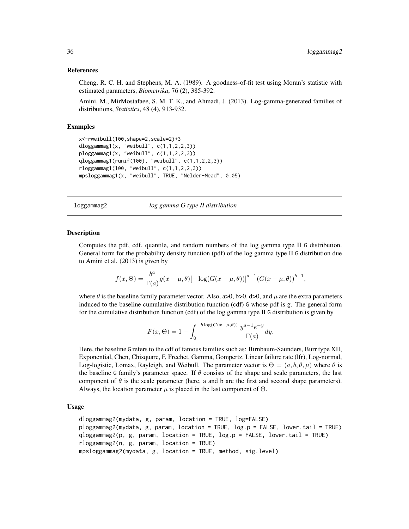<span id="page-35-0"></span>Cheng, R. C. H. and Stephens, M. A. (1989). A goodness-of-fit test using Moran's statistic with estimated parameters, *Biometrika*, 76 (2), 385-392.

Amini, M., MirMostafaee, S. M. T. K., and Ahmadi, J. (2013). Log-gamma-generated families of distributions, *Statistics*, 48 (4), 913-932.

#### Examples

```
x<-rweibull(100,shape=2,scale=2)+3
dloggammag1(x, "weibull", c(1,1,2,2,3))
ploggammag1(x, "weibull", c(1,1,2,2,3))
qloggammag1(runif(100), "weibull", c(1,1,2,2,3))
rloggammag1(100, "weibull", c(1,1,2,2,3))
mpsloggammag1(x, "weibull", TRUE, "Nelder-Mead", 0.05)
```
#### loggammag2 *log gamma G type II distribution*

#### **Description**

Computes the pdf, cdf, quantile, and random numbers of the log gamma type II G distribution. General form for the probability density function (pdf) of the log gamma type II G distribution due to Amini et al. (2013) is given by

$$
f(x, \Theta) = \frac{b^{a}}{\Gamma(a)} g(x - \mu, \theta) [-\log(G(x - \mu, \theta))]^{a-1} (G(x - \mu, \theta))^{b-1},
$$

where  $\theta$  is the baseline family parameter vector. Also, a>0, b>0, d>0, and  $\mu$  are the extra parameters induced to the baseline cumulative distribution function (cdf) G whose pdf is g. The general form for the cumulative distribution function (cdf) of the log gamma type II G distribution is given by

$$
F(x, \Theta) = 1 - \int_0^{-b \log(G(x - \mu, \theta))} \frac{y^{a - 1} e^{-y}}{\Gamma(a)} dy.
$$

Here, the baseline G refers to the cdf of famous families such as: Birnbaum-Saunders, Burr type XII, Exponential, Chen, Chisquare, F, Frechet, Gamma, Gompertz, Linear failure rate (lfr), Log-normal, Log-logistic, Lomax, Rayleigh, and Weibull. The parameter vector is  $\Theta = (a, b, \theta, \mu)$  where  $\theta$  is the baseline G family's parameter space. If  $\theta$  consists of the shape and scale parameters, the last component of  $\theta$  is the scale parameter (here, a and b are the first and second shape parameters). Always, the location parameter  $\mu$  is placed in the last component of  $\Theta$ .

```
dloggammag2(mydata, g, param, location = TRUE, log=FALSE)
ploggammag2(mydata, g, param, location = TRUE, log.p = FALSE, lower.tail = TRUE)
qloggammag2(p, g, param, location = TRUE, log.p = FALSE, lower.tail = TRUE)
rloggammag2(n, g, param, location = TRUE)
mpsloggammag2(mydata, g, location = TRUE, method, sig.level)
```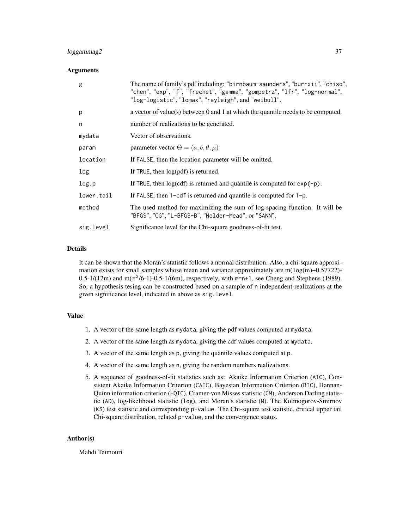#### $loggamma 2$  37

#### Arguments

| g          | The name of family's pdf including: "birnbaum-saunders", "burrxii", "chisq",<br>"chen", "exp", "f", "frechet", "gamma", "gompetrz", "lfr", "log-normal",<br>"log-logistic", "lomax", "rayleigh", and "weibull". |
|------------|-----------------------------------------------------------------------------------------------------------------------------------------------------------------------------------------------------------------|
| p          | a vector of value(s) between $0$ and $1$ at which the quantile needs to be computed.                                                                                                                            |
| n          | number of realizations to be generated.                                                                                                                                                                         |
| mydata     | Vector of observations.                                                                                                                                                                                         |
| param      | parameter vector $\Theta = (a, b, \theta, \mu)$                                                                                                                                                                 |
| location   | If FALSE, then the location parameter will be omitted.                                                                                                                                                          |
| log        | If TRUE, then $log(pdf)$ is returned.                                                                                                                                                                           |
| log.p      | If TRUE, then $log(cd)$ is returned and quantile is computed for $exp(-p)$ .                                                                                                                                    |
| lower.tail | If FALSE, then $1$ -cdf is returned and quantile is computed for $1-p$ .                                                                                                                                        |
| method     | The used method for maximizing the sum of log-spacing function. It will be<br>"BFGS", "CG", "L-BFGS-B", "Nelder-Mead", or "SANN".                                                                               |
| sig.level  | Significance level for the Chi-square goodness-of-fit test.                                                                                                                                                     |

#### Details

It can be shown that the Moran's statistic follows a normal distribution. Also, a chi-square approximation exists for small samples whose mean and variance approximately are  $m(\log(m)+0.57722)$ -0.5-1/(12m) and m( $\pi^2/6$ -1)-0.5-1/(6m), respectively, with m=n+1, see Cheng and Stephens (1989). So, a hypothesis tesing can be constructed based on a sample of n independent realizations at the given significance level, indicated in above as sig.level.

#### Value

- 1. A vector of the same length as mydata, giving the pdf values computed at mydata.
- 2. A vector of the same length as mydata, giving the cdf values computed at mydata.
- 3. A vector of the same length as p, giving the quantile values computed at p.
- 4. A vector of the same length as n, giving the random numbers realizations.
- 5. A sequence of goodness-of-fit statistics such as: Akaike Information Criterion (AIC), Consistent Akaike Information Criterion (CAIC), Bayesian Information Criterion (BIC), Hannan-Quinn information criterion (HQIC), Cramer-von Misses statistic (CM), Anderson Darling statistic (AD), log-likelihood statistic (log), and Moran's statistic (M). The Kolmogorov-Smirnov (KS) test statistic and corresponding p-value. The Chi-square test statistic, critical upper tail Chi-square distribution, related p-value, and the convergence status.

#### Author(s)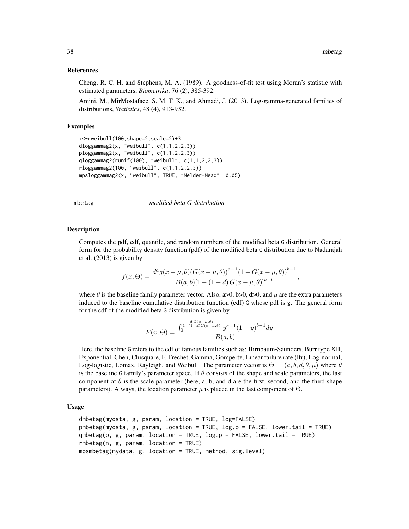<span id="page-37-0"></span>Cheng, R. C. H. and Stephens, M. A. (1989). A goodness-of-fit test using Moran's statistic with estimated parameters, *Biometrika*, 76 (2), 385-392.

Amini, M., MirMostafaee, S. M. T. K., and Ahmadi, J. (2013). Log-gamma-generated families of distributions, *Statistics*, 48 (4), 913-932.

#### Examples

```
x<-rweibull(100,shape=2,scale=2)+3
dloggammag2(x, "weibull", c(1,1,2,2,3))
ploggammag2(x, "weibull", c(1,1,2,2,3))
qloggammag2(runif(100), "weibull", c(1,1,2,2,3))
rloggammag2(100, "weibull", c(1,1,2,2,3))
mpsloggammag2(x, "weibull", TRUE, "Nelder-Mead", 0.05)
```
#### mbetag *modified beta G distribution*

#### **Description**

Computes the pdf, cdf, quantile, and random numbers of the modified beta G distribution. General form for the probability density function (pdf) of the modified beta G distribution due to Nadarajah et al. (2013) is given by

$$
f(x, \Theta) = \frac{d^{a}g(x - \mu, \theta)(G(x - \mu, \theta))^{a-1}(1 - G(x - \mu, \theta))^{b-1}}{B(a, b)[1 - (1 - d)G(x - \mu, \theta)]^{a+b}},
$$

where  $\theta$  is the baseline family parameter vector. Also, a>0, b>0, d>0, and  $\mu$  are the extra parameters induced to the baseline cumulative distribution function (cdf) G whose pdf is g. The general form for the cdf of the modified beta G distribution is given by

$$
F(x,\Theta) = \frac{\int_0^{\frac{dG(x-\mu,\theta)}{1-(1-d)G(x-\mu,\theta)}} y^{a-1} (1-y)^{b-1} dy}{B(a,b)}.
$$

Here, the baseline G refers to the cdf of famous families such as: Birnbaum-Saunders, Burr type XII, Exponential, Chen, Chisquare, F, Frechet, Gamma, Gompertz, Linear failure rate (lfr), Log-normal, Log-logistic, Lomax, Rayleigh, and Weibull. The parameter vector is  $\Theta = (a, b, d, \theta, \mu)$  where  $\theta$ is the baseline G family's parameter space. If  $\theta$  consists of the shape and scale parameters, the last component of  $\theta$  is the scale parameter (here, a, b, and d are the first, second, and the third shape parameters). Always, the location parameter  $\mu$  is placed in the last component of  $\Theta$ .

```
dmbetag(mydata, g, param, location = TRUE, log=FALSE)
pmbetag(mydata, g, param, location = TRUE, log.p = FALSE, lower.tail = TRUE)
qmbetag(p, g, param, location = TRUE, log.p = FALSE, lower.tail = TRUE)
rmbetag(n, g, param, location = TRUE)
mpsmbetag(mydata, g, location = TRUE, method, sig.level)
```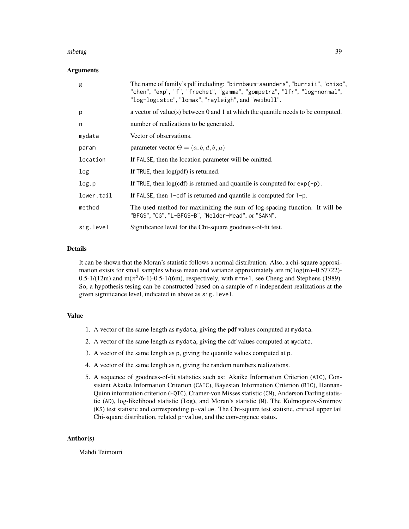#### mbetag and the state of the state of the state of the state of the state of the state of the state of the state of the state of the state of the state of the state of the state of the state of the state of the state of the

#### Arguments

| g          | The name of family's pdf including: "birnbaum-saunders", "burrxii", "chisq",<br>"chen", "exp", "f", "frechet", "gamma", "gompetrz", "lfr", "log-normal",<br>"log-logistic", "lomax", "rayleigh", and "weibull". |
|------------|-----------------------------------------------------------------------------------------------------------------------------------------------------------------------------------------------------------------|
| p          | a vector of value(s) between $0$ and $1$ at which the quantile needs to be computed.                                                                                                                            |
| n          | number of realizations to be generated.                                                                                                                                                                         |
| mydata     | Vector of observations.                                                                                                                                                                                         |
| param      | parameter vector $\Theta = (a, b, d, \theta, \mu)$                                                                                                                                                              |
| location   | If FALSE, then the location parameter will be omitted.                                                                                                                                                          |
| log        | If TRUE, then $log(pdf)$ is returned.                                                                                                                                                                           |
| log.p      | If TRUE, then $log(cdf)$ is returned and quantile is computed for $exp(-p)$ .                                                                                                                                   |
| lower.tail | If FALSE, then $1$ -cdf is returned and quantile is computed for $1-p$ .                                                                                                                                        |
| method     | The used method for maximizing the sum of log-spacing function. It will be<br>"BFGS", "CG", "L-BFGS-B", "Nelder-Mead", or "SANN".                                                                               |
| sig.level  | Significance level for the Chi-square goodness-of-fit test.                                                                                                                                                     |

#### Details

It can be shown that the Moran's statistic follows a normal distribution. Also, a chi-square approximation exists for small samples whose mean and variance approximately are  $m(\log(m)+0.57722)$ -0.5-1/(12m) and m( $\pi^2/6$ -1)-0.5-1/(6m), respectively, with m=n+1, see Cheng and Stephens (1989). So, a hypothesis tesing can be constructed based on a sample of n independent realizations at the given significance level, indicated in above as sig.level.

#### Value

- 1. A vector of the same length as mydata, giving the pdf values computed at mydata.
- 2. A vector of the same length as mydata, giving the cdf values computed at mydata.
- 3. A vector of the same length as p, giving the quantile values computed at p.
- 4. A vector of the same length as n, giving the random numbers realizations.
- 5. A sequence of goodness-of-fit statistics such as: Akaike Information Criterion (AIC), Consistent Akaike Information Criterion (CAIC), Bayesian Information Criterion (BIC), Hannan-Quinn information criterion (HQIC), Cramer-von Misses statistic (CM), Anderson Darling statistic (AD), log-likelihood statistic (log), and Moran's statistic (M). The Kolmogorov-Smirnov (KS) test statistic and corresponding p-value. The Chi-square test statistic, critical upper tail Chi-square distribution, related p-value, and the convergence status.

#### Author(s)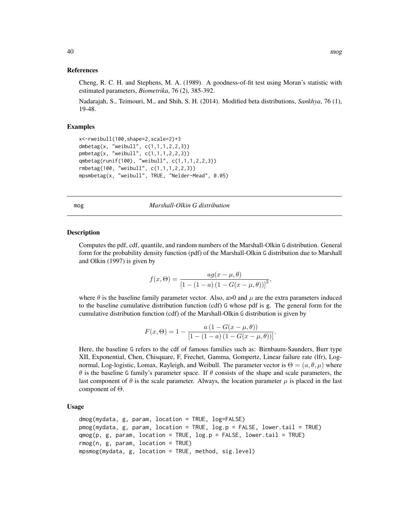<span id="page-39-0"></span>Cheng, R. C. H. and Stephens, M. A. (1989). A goodness-of-fit test using Moran's statistic with estimated parameters, *Biometrika*, 76 (2), 385-392.

Nadarajah, S., Teimouri, M., and Shih, S. H. (2014). Modified beta distributions, *Sankhya*, 76 (1), 19-48.

#### Examples

```
x<-rweibull(100,shape=2,scale=2)+3
dmbetag(x, "weibull", c(1,1,1,2,2,3))
pmbetag(x, "weibull", c(1,1,1,2,2,3))
qmbetag(runif(100), "weibull", c(1,1,1,2,2,3))
rmbetag(100, "weibull", c(1,1,1,2,2,3))
mpsmbetag(x, "weibull", TRUE, "Nelder-Mead", 0.05)
```
#### mog *Marshall-Olkin G distribution*

#### **Description**

Computes the pdf, cdf, quantile, and random numbers of the Marshall-Olkin G distribution. General form for the probability density function (pdf) of the Marshall-Olkin G distribution due to Marshall and Olkin (1997) is given by

$$
f(x,\Theta) = \frac{ag(x-\mu,\theta)}{\left[1 - \left(1 - a\right)\left(1 - G(x-\mu,\theta)\right)\right]^2},
$$

where  $\theta$  is the baseline family parameter vector. Also, a>0 and  $\mu$  are the extra parameters induced to the baseline cumulative distribution function (cdf) G whose pdf is g. The general form for the cumulative distribution function (cdf) of the Marshall-Olkin G distribution is given by

$$
F(x, \Theta) = 1 - \frac{a(1 - G(x - \mu, \theta))}{[1 - (1 - a)(1 - G(x - \mu, \theta))]}.
$$

Here, the baseline G refers to the cdf of famous families such as: Birnbaum-Saunders, Burr type XII, Exponential, Chen, Chisquare, F, Frechet, Gamma, Gompertz, Linear failure rate (lfr), Lognormal, Log-logistic, Lomax, Rayleigh, and Weibull. The parameter vector is  $\Theta = (a, \theta, \mu)$  where  $\theta$  is the baseline G family's parameter space. If  $\theta$  consists of the shape and scale parameters, the last component of  $\theta$  is the scale parameter. Always, the location parameter  $\mu$  is placed in the last component of Θ.

```
dmog(mydata, g, param, location = TRUE, log=FALSE)
pmog(mydata, g, param, location = TRUE, log.p = FALSE, lower.tail = TRUE)
qmog(p, g, param, location = TRUE, log.p = FALSE, lower.tail = TRUE)
rmog(n, g, param, location = TRUE)
mpsmog(mydata, g, location = TRUE, method, sig.level)
```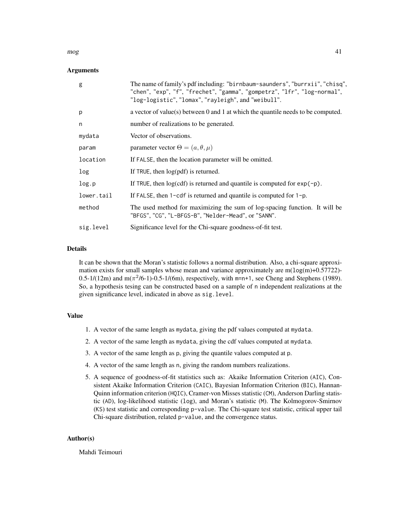#### $mog$  41

#### Arguments

| g          | The name of family's pdf including: "birnbaum-saunders", "burrxii", "chisq",<br>"chen", "exp", "f", "frechet", "gamma", "gompetrz", "lfr", "log-normal",<br>"log-logistic", "lomax", "rayleigh", and "weibull". |
|------------|-----------------------------------------------------------------------------------------------------------------------------------------------------------------------------------------------------------------|
| p          | a vector of value(s) between 0 and 1 at which the quantile needs to be computed.                                                                                                                                |
| n          | number of realizations to be generated.                                                                                                                                                                         |
| mydata     | Vector of observations.                                                                                                                                                                                         |
| param      | parameter vector $\Theta = (a, \theta, \mu)$                                                                                                                                                                    |
| location   | If FALSE, then the location parameter will be omitted.                                                                                                                                                          |
| log        | If TRUE, then $log(pdf)$ is returned.                                                                                                                                                                           |
| log.p      | If TRUE, then $log(cd)$ is returned and quantile is computed for $exp(-p)$ .                                                                                                                                    |
| lower.tail | If FALSE, then $1$ -cdf is returned and quantile is computed for $1-p$ .                                                                                                                                        |
| method     | The used method for maximizing the sum of log-spacing function. It will be<br>"BFGS", "CG", "L-BFGS-B", "Nelder-Mead", or "SANN".                                                                               |
| sig.level  | Significance level for the Chi-square goodness-of-fit test.                                                                                                                                                     |

#### Details

It can be shown that the Moran's statistic follows a normal distribution. Also, a chi-square approximation exists for small samples whose mean and variance approximately are  $m(\log(m)+0.57722)$ -0.5-1/(12m) and m( $\pi^2/6$ -1)-0.5-1/(6m), respectively, with m=n+1, see Cheng and Stephens (1989). So, a hypothesis tesing can be constructed based on a sample of n independent realizations at the given significance level, indicated in above as sig.level.

#### Value

- 1. A vector of the same length as mydata, giving the pdf values computed at mydata.
- 2. A vector of the same length as mydata, giving the cdf values computed at mydata.
- 3. A vector of the same length as p, giving the quantile values computed at p.
- 4. A vector of the same length as n, giving the random numbers realizations.
- 5. A sequence of goodness-of-fit statistics such as: Akaike Information Criterion (AIC), Consistent Akaike Information Criterion (CAIC), Bayesian Information Criterion (BIC), Hannan-Quinn information criterion (HQIC), Cramer-von Misses statistic (CM), Anderson Darling statistic (AD), log-likelihood statistic (log), and Moran's statistic (M). The Kolmogorov-Smirnov (KS) test statistic and corresponding p-value. The Chi-square test statistic, critical upper tail Chi-square distribution, related p-value, and the convergence status.

#### Author(s)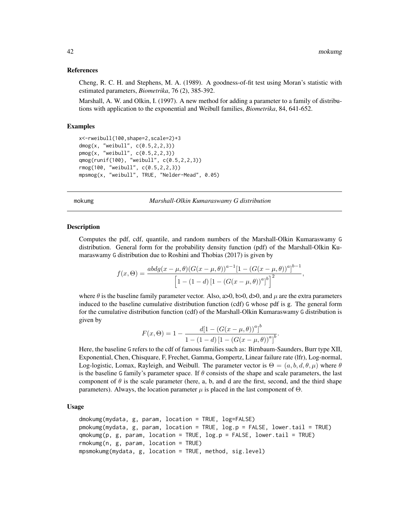<span id="page-41-0"></span>Cheng, R. C. H. and Stephens, M. A. (1989). A goodness-of-fit test using Moran's statistic with estimated parameters, *Biometrika*, 76 (2), 385-392.

Marshall, A. W. and Olkin, I. (1997). A new method for adding a parameter to a family of distributions with application to the exponential and Weibull families, *Biometrika*, 84, 641-652.

#### Examples

```
x<-rweibull(100,shape=2,scale=2)+3
dmog(x, "weibull", c(0.5,2,2,3))
pmog(x, "weibull", c(0.5,2,2,3))
qmog(runif(100), "weibull", c(0.5,2,2,3))
rmog(100, "weibull", c(0.5,2,2,3))
mpsmog(x, "weibull", TRUE, "Nelder-Mead", 0.05)
```
mokumg *Marshall-Olkin Kumaraswamy G distribution*

#### Description

Computes the pdf, cdf, quantile, and random numbers of the Marshall-Olkin Kumaraswamy G distribution. General form for the probability density function (pdf) of the Marshall-Olkin Kumaraswamy G distribution due to Roshini and Thobias (2017) is given by

$$
f(x,\Theta) = \frac{abdg(x-\mu,\theta)(G(x-\mu,\theta))^{a-1}[1 - (G(x-\mu,\theta))^{a}]^{b-1}}{\left[1 - (1-d)[1 - (G(x-\mu,\theta))^{a}]^{b}\right]^{2}},
$$

where  $\theta$  is the baseline family parameter vector. Also, a  $> 0$ , b  $> 0$ , d  $> 0$ , and  $\mu$  are the extra parameters induced to the baseline cumulative distribution function (cdf) G whose pdf is g. The general form for the cumulative distribution function (cdf) of the Marshall-Olkin Kumaraswamy G distribution is given by

$$
F(x, \Theta) = 1 - \frac{d[1 - (G(x - \mu, \theta))^{a}]^{b}}{1 - (1 - d) [1 - (G(x - \mu, \theta))^{a}]^{b}}.
$$

Here, the baseline G refers to the cdf of famous families such as: Birnbaum-Saunders, Burr type XII, Exponential, Chen, Chisquare, F, Frechet, Gamma, Gompertz, Linear failure rate (lfr), Log-normal, Log-logistic, Lomax, Rayleigh, and Weibull. The parameter vector is  $\Theta = (a, b, d, \theta, \mu)$  where  $\theta$ is the baseline G family's parameter space. If  $\theta$  consists of the shape and scale parameters, the last component of  $\theta$  is the scale parameter (here, a, b, and d are the first, second, and the third shape parameters). Always, the location parameter  $\mu$  is placed in the last component of  $\Theta$ .

```
dmokumg(mydata, g, param, location = TRUE, log=FALSE)
pmokumg(mydata, g, param, location = TRUE, log.p = FALSE, lower.tail = TRUE)
qmokumg(p, g, param, location = TRUE, log.p = FALSE, lower.tail = TRUE)
rmokumg(n, g, param, location = TRUE)
mpsmokumg(mydata, g, location = TRUE, method, sig.level)
```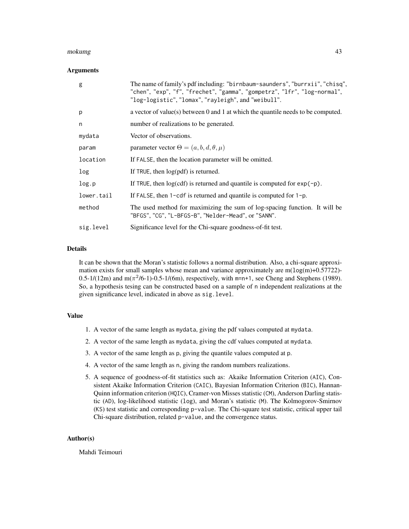#### mokumg 43

#### Arguments

| g          | The name of family's pdf including: "birnbaum-saunders", "burrxii", "chisq",<br>"chen", "exp", "f", "frechet", "gamma", "gompetrz", "lfr", "log-normal",<br>"log-logistic", "lomax", "rayleigh", and "weibull". |
|------------|-----------------------------------------------------------------------------------------------------------------------------------------------------------------------------------------------------------------|
| p          | a vector of value(s) between 0 and 1 at which the quantile needs to be computed.                                                                                                                                |
| n          | number of realizations to be generated.                                                                                                                                                                         |
| mydata     | Vector of observations.                                                                                                                                                                                         |
| param      | parameter vector $\Theta = (a, b, d, \theta, \mu)$                                                                                                                                                              |
| location   | If FALSE, then the location parameter will be omitted.                                                                                                                                                          |
| log        | If TRUE, then $log(pdf)$ is returned.                                                                                                                                                                           |
| log.p      | If TRUE, then $log(cd)$ is returned and quantile is computed for $exp(-p)$ .                                                                                                                                    |
| lower.tail | If FALSE, then $1$ -cdf is returned and quantile is computed for $1-p$ .                                                                                                                                        |
| method     | The used method for maximizing the sum of log-spacing function. It will be<br>"BFGS", "CG", "L-BFGS-B", "Nelder-Mead", or "SANN".                                                                               |
| sig.level  | Significance level for the Chi-square goodness-of-fit test.                                                                                                                                                     |

#### Details

It can be shown that the Moran's statistic follows a normal distribution. Also, a chi-square approximation exists for small samples whose mean and variance approximately are  $m(\log(m)+0.57722)$ -0.5-1/(12m) and m( $\pi^2/6$ -1)-0.5-1/(6m), respectively, with m=n+1, see Cheng and Stephens (1989). So, a hypothesis tesing can be constructed based on a sample of n independent realizations at the given significance level, indicated in above as sig.level.

#### Value

- 1. A vector of the same length as mydata, giving the pdf values computed at mydata.
- 2. A vector of the same length as mydata, giving the cdf values computed at mydata.
- 3. A vector of the same length as p, giving the quantile values computed at p.
- 4. A vector of the same length as n, giving the random numbers realizations.
- 5. A sequence of goodness-of-fit statistics such as: Akaike Information Criterion (AIC), Consistent Akaike Information Criterion (CAIC), Bayesian Information Criterion (BIC), Hannan-Quinn information criterion (HQIC), Cramer-von Misses statistic (CM), Anderson Darling statistic (AD), log-likelihood statistic (log), and Moran's statistic (M). The Kolmogorov-Smirnov (KS) test statistic and corresponding p-value. The Chi-square test statistic, critical upper tail Chi-square distribution, related p-value, and the convergence status.

#### Author(s)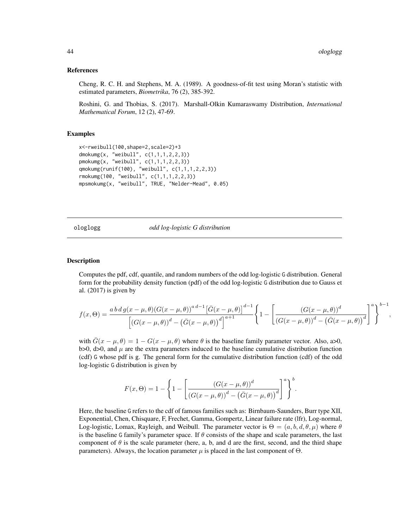<span id="page-43-0"></span>Cheng, R. C. H. and Stephens, M. A. (1989). A goodness-of-fit test using Moran's statistic with estimated parameters, *Biometrika*, 76 (2), 385-392.

Roshini, G. and Thobias, S. (2017). Marshall-Olkin Kumaraswamy Distribution, *International Mathematical Forum*, 12 (2), 47-69.

#### Examples

```
x<-rweibull(100,shape=2,scale=2)+3
dmokumg(x, "weibull", c(1,1,1,2,2,3))
pmokumg(x, "weibull", c(1,1,1,2,2,3))
qmokumg(runif(100), "weibull", c(1,1,1,2,2,3))
rmokumg(100, "weibull", c(1,1,1,2,2,3))
mpsmokumg(x, "weibull", TRUE, "Nelder-Mead", 0.05)
```
ologlogg *odd log-logistic G distribution*

#### Description

Computes the pdf, cdf, quantile, and random numbers of the odd log-logistic G distribution. General form for the probability density function (pdf) of the odd log-logistic G distribution due to Gauss et al. (2017) is given by

$$
f(x,\Theta) = \frac{a b d g(x-\mu,\theta) (G(x-\mu,\theta))^{a d-1} \left[ \bar{G}(x-\mu,\theta) \right]^{d-1}}{\left[ (G(x-\mu,\theta))^{d} - (\bar{G}(x-\mu,\theta))^{d} \right]^{a+1}} \left\{ 1 - \left[ \frac{(G(x-\mu,\theta))^{d}}{(G(x-\mu,\theta))^{d} - (\bar{G}(x-\mu,\theta))^{d}} \right]^{a} \right\}^{b-1},
$$

with  $\bar{G}(x - \mu, \theta) = 1 - G(x - \mu, \theta)$  where  $\theta$  is the baseline family parameter vector. Also, a>0, b>0, d>0, and  $\mu$  are the extra parameters induced to the baseline cumulative distribution function (cdf) G whose pdf is g. The general form for the cumulative distribution function (cdf) of the odd log-logistic G distribution is given by

$$
F(x,\Theta) = 1 - \left\{ 1 - \left[ \frac{\left(G(x-\mu,\theta)\right)^d}{\left(G(x-\mu,\theta)\right)^d - \left(\bar{G}(x-\mu,\theta)\right)^d} \right]^a \right\}^b.
$$

Here, the baseline G refers to the cdf of famous families such as: Birnbaum-Saunders, Burr type XII, Exponential, Chen, Chisquare, F, Frechet, Gamma, Gompertz, Linear failure rate (lfr), Log-normal, Log-logistic, Lomax, Rayleigh, and Weibull. The parameter vector is  $\Theta = (a, b, d, \theta, \mu)$  where  $\theta$ is the baseline G family's parameter space. If  $\theta$  consists of the shape and scale parameters, the last component of  $\theta$  is the scale parameter (here, a, b, and d are the first, second, and the third shape parameters). Always, the location parameter  $\mu$  is placed in the last component of  $\Theta$ .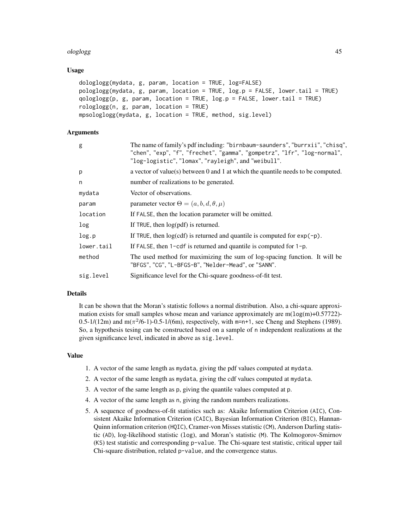#### ologlogg 45

#### Usage

```
dologlogg(mydata, g, param, location = TRUE, log=FALSE)
pologlogg(mydata, g, param, location = TRUE, log.p = FALSE, lower.tail = TRUE)
qologlogg(p, g, param, location = TRUE, log.p = FALSE, lower.tail = TRUE)
rologlogg(n, g, param, location = TRUE)
mpsologlogg(mydata, g, location = TRUE, method, sig.level)
```
#### Arguments

| g          | The name of family's pdf including: "birnbaum-saunders", "burrxii", "chisq",<br>"chen", "exp", "f", "frechet", "gamma", "gompetrz", "lfr", "log-normal",<br>"log-logistic", "lomax", "rayleigh", and "weibull". |
|------------|-----------------------------------------------------------------------------------------------------------------------------------------------------------------------------------------------------------------|
| p          | a vector of value(s) between 0 and 1 at which the quantile needs to be computed.                                                                                                                                |
| n          | number of realizations to be generated.                                                                                                                                                                         |
| mydata     | Vector of observations.                                                                                                                                                                                         |
| param      | parameter vector $\Theta = (a, b, d, \theta, \mu)$                                                                                                                                                              |
| location   | If FALSE, then the location parameter will be omitted.                                                                                                                                                          |
| log        | If TRUE, then $log(pdf)$ is returned.                                                                                                                                                                           |
| log.p      | If TRUE, then $log(cdf)$ is returned and quantile is computed for $exp(-p)$ .                                                                                                                                   |
| lower.tail | If FALSE, then $1$ -cdf is returned and quantile is computed for $1-p$ .                                                                                                                                        |
| method     | The used method for maximizing the sum of log-spacing function. It will be<br>"BFGS", "CG", "L-BFGS-B", "Nelder-Mead", or "SANN".                                                                               |
| sig.level  | Significance level for the Chi-square goodness-of-fit test.                                                                                                                                                     |

#### Details

It can be shown that the Moran's statistic follows a normal distribution. Also, a chi-square approximation exists for small samples whose mean and variance approximately are  $m(\log(m)+0.57722)$ -0.5-1/(12m) and m( $\pi^2/6$ -1)-0.5-1/(6m), respectively, with m=n+1, see Cheng and Stephens (1989). So, a hypothesis tesing can be constructed based on a sample of n independent realizations at the given significance level, indicated in above as sig.level.

#### Value

- 1. A vector of the same length as mydata, giving the pdf values computed at mydata.
- 2. A vector of the same length as mydata, giving the cdf values computed at mydata.
- 3. A vector of the same length as p, giving the quantile values computed at p.
- 4. A vector of the same length as n, giving the random numbers realizations.
- 5. A sequence of goodness-of-fit statistics such as: Akaike Information Criterion (AIC), Consistent Akaike Information Criterion (CAIC), Bayesian Information Criterion (BIC), Hannan-Quinn information criterion (HQIC), Cramer-von Misses statistic (CM), Anderson Darling statistic (AD), log-likelihood statistic (log), and Moran's statistic (M). The Kolmogorov-Smirnov (KS) test statistic and corresponding p-value. The Chi-square test statistic, critical upper tail Chi-square distribution, related p-value, and the convergence status.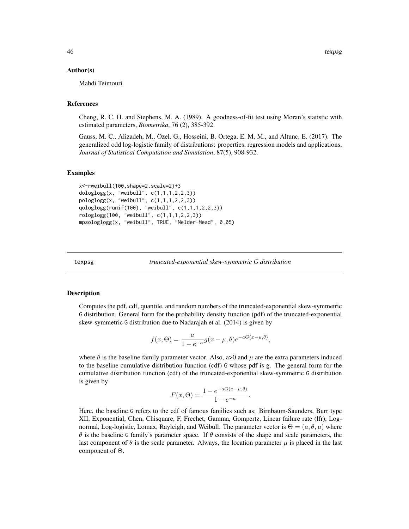#### <span id="page-45-0"></span>Author(s)

Mahdi Teimouri

#### References

Cheng, R. C. H. and Stephens, M. A. (1989). A goodness-of-fit test using Moran's statistic with estimated parameters, *Biometrika*, 76 (2), 385-392.

Gauss, M. C., Alizadeh, M., Ozel, G., Hosseini, B. Ortega, E. M. M., and Altunc, E. (2017). The generalized odd log-logistic family of distributions: properties, regression models and applications, *Journal of Statistical Computation and Simulation*, 87(5), 908-932.

#### Examples

```
x<-rweibull(100,shape=2,scale=2)+3
dologlogg(x, "weibull", c(1,1,1,2,2,3))
pologlogg(x, "weibull", c(1,1,1,2,2,3))
qologlogg(runif(100), "weibull", c(1,1,1,2,2,3))
rologlogg(100, "weibull", c(1,1,1,2,2,3))
mpsologlogg(x, "weibull", TRUE, "Nelder-Mead", 0.05)
```

```
texpsg truncated-exponential skew-symmetric G distribution
```
#### **Description**

Computes the pdf, cdf, quantile, and random numbers of the truncated-exponential skew-symmetric G distribution. General form for the probability density function (pdf) of the truncated-exponential skew-symmetric G distribution due to Nadarajah et al. (2014) is given by

$$
f(x,\Theta) = \frac{a}{1 - e^{-a}}g(x - \mu, \theta)e^{-aG(x - \mu, \theta)},
$$

where  $\theta$  is the baseline family parameter vector. Also, a>0 and  $\mu$  are the extra parameters induced to the baseline cumulative distribution function (cdf) G whose pdf is g. The general form for the cumulative distribution function (cdf) of the truncated-exponential skew-symmetric G distribution is given by

$$
F(x, \Theta) = \frac{1 - e^{-aG(x - \mu, \theta)}}{1 - e^{-a}}.
$$

Here, the baseline G refers to the cdf of famous families such as: Birnbaum-Saunders, Burr type XII, Exponential, Chen, Chisquare, F, Frechet, Gamma, Gompertz, Linear failure rate (lfr), Lognormal, Log-logistic, Lomax, Rayleigh, and Weibull. The parameter vector is  $\Theta = (a, \theta, \mu)$  where  $θ$  is the baseline G family's parameter space. If  $θ$  consists of the shape and scale parameters, the last component of  $\theta$  is the scale parameter. Always, the location parameter  $\mu$  is placed in the last component of Θ.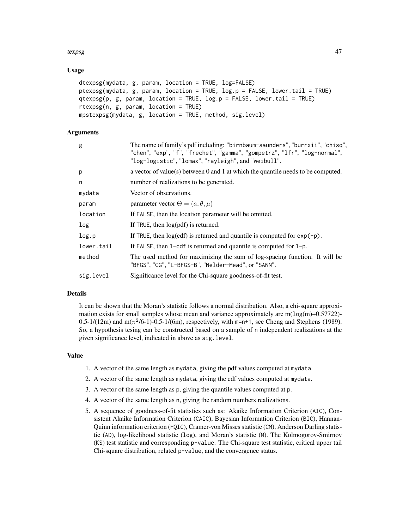#### texpsg and the state of the state of the state of the state of the state of the state of the state of the state of the state of the state of the state of the state of the state of the state of the state of the state of the

#### Usage

```
dtexpsg(mydata, g, param, location = TRUE, log=FALSE)
ptexpsg(mydata, g, param, location = TRUE, log.p = FALSE, lower.tail = TRUE)
qtexpsg(p, g, param, location = TRUE, log.p = FALSE, lower.tail = TRUE)
rtexpsg(n, g, param, location = TRUE)
mpstexpsg(mydata, g, location = TRUE, method, sig.level)
```
### Arguments

| g          | The name of family's pdf including: "birnbaum-saunders", "burrxii", "chisq",<br>"chen", "exp", "f", "frechet", "gamma", "gompetrz", "lfr", "log-normal",<br>"log-logistic", "lomax", "rayleigh", and "weibull". |
|------------|-----------------------------------------------------------------------------------------------------------------------------------------------------------------------------------------------------------------|
| p          | a vector of value(s) between 0 and 1 at which the quantile needs to be computed.                                                                                                                                |
| n          | number of realizations to be generated.                                                                                                                                                                         |
| mydata     | Vector of observations.                                                                                                                                                                                         |
| param      | parameter vector $\Theta = (a, \theta, \mu)$                                                                                                                                                                    |
| location   | If FALSE, then the location parameter will be omitted.                                                                                                                                                          |
| log        | If TRUE, then $log(pdf)$ is returned.                                                                                                                                                                           |
| log.p      | If TRUE, then $log(cdf)$ is returned and quantile is computed for $exp(-p)$ .                                                                                                                                   |
| lower.tail | If FALSE, then $1$ -cdf is returned and quantile is computed for $1-p$ .                                                                                                                                        |
| method     | The used method for maximizing the sum of log-spacing function. It will be<br>"BFGS", "CG", "L-BFGS-B", "Nelder-Mead", or "SANN".                                                                               |
| sig.level  | Significance level for the Chi-square goodness-of-fit test.                                                                                                                                                     |

#### Details

It can be shown that the Moran's statistic follows a normal distribution. Also, a chi-square approximation exists for small samples whose mean and variance approximately are  $m(\log(m)+0.57722)$ -0.5-1/(12m) and m( $\pi^2/6$ -1)-0.5-1/(6m), respectively, with m=n+1, see Cheng and Stephens (1989). So, a hypothesis tesing can be constructed based on a sample of n independent realizations at the given significance level, indicated in above as sig.level.

#### Value

- 1. A vector of the same length as mydata, giving the pdf values computed at mydata.
- 2. A vector of the same length as mydata, giving the cdf values computed at mydata.
- 3. A vector of the same length as p, giving the quantile values computed at p.
- 4. A vector of the same length as n, giving the random numbers realizations.
- 5. A sequence of goodness-of-fit statistics such as: Akaike Information Criterion (AIC), Consistent Akaike Information Criterion (CAIC), Bayesian Information Criterion (BIC), Hannan-Quinn information criterion (HQIC), Cramer-von Misses statistic (CM), Anderson Darling statistic (AD), log-likelihood statistic (log), and Moran's statistic (M). The Kolmogorov-Smirnov (KS) test statistic and corresponding p-value. The Chi-square test statistic, critical upper tail Chi-square distribution, related p-value, and the convergence status.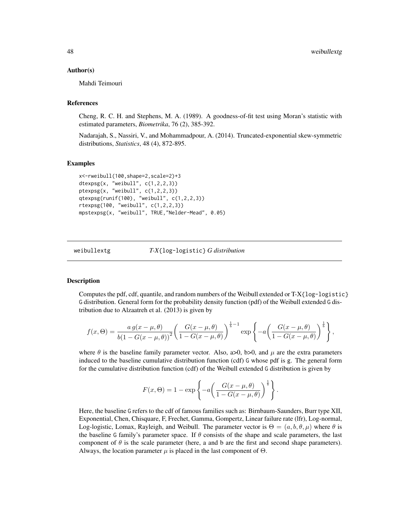#### Author(s)

Mahdi Teimouri

#### References

Cheng, R. C. H. and Stephens, M. A. (1989). A goodness-of-fit test using Moran's statistic with estimated parameters, *Biometrika*, 76 (2), 385-392.

Nadarajah, S., Nassiri, V., and Mohammadpour, A. (2014). Truncated-exponential skew-symmetric distributions, *Statistics*, 48 (4), 872-895.

#### Examples

```
x<-rweibull(100,shape=2,scale=2)+3
dtexpsg(x, "weibull", c(1,2,2,3))
ptexpsg(x, "weibull", c(1,2,2,3))
qtexpsg(runif(100), "weibull", c(1,2,2,3))
rtexpsg(100, "weibull", c(1,2,2,3))
mpstexpsg(x, "weibull", TRUE,"Nelder-Mead", 0.05)
```
 $weight$ 

#### **Description**

Computes the pdf, cdf, quantile, and random numbers of the Weibull extended or  $T-X$ {log-logistic} G distribution. General form for the probability density function (pdf) of the Weibull extended G distribution due to Alzaatreh et al. (2013) is given by

$$
f(x,\Theta) = \frac{a g(x-\mu,\theta)}{b(1-G(x-\mu,\theta))^2} \left(\frac{G(x-\mu,\theta)}{1-G(x-\mu,\theta)}\right)^{\frac{1}{b}-1} \exp\left\{-a\left(\frac{G(x-\mu,\theta)}{1-G(x-\mu,\theta)}\right)^{\frac{1}{b}}\right\},\,
$$

where  $\theta$  is the baseline family parameter vector. Also, a>0, b>0, and  $\mu$  are the extra parameters induced to the baseline cumulative distribution function (cdf) G whose pdf is g. The general form for the cumulative distribution function (cdf) of the Weibull extended G distribution is given by

$$
F(x,\Theta) = 1 - \exp\left\{-a\left(\frac{G(x-\mu,\theta)}{1-G(x-\mu,\theta)}\right)^{\frac{1}{b}}\right\}.
$$

Here, the baseline G refers to the cdf of famous families such as: Birnbaum-Saunders, Burr type XII, Exponential, Chen, Chisquare, F, Frechet, Gamma, Gompertz, Linear failure rate (lfr), Log-normal, Log-logistic, Lomax, Rayleigh, and Weibull. The parameter vector is  $\Theta = (a, b, \theta, \mu)$  where  $\theta$  is the baseline G family's parameter space. If  $\theta$  consists of the shape and scale parameters, the last component of  $\theta$  is the scale parameter (here, a and b are the first and second shape parameters). Always, the location parameter  $\mu$  is placed in the last component of  $\Theta$ .

<span id="page-47-0"></span>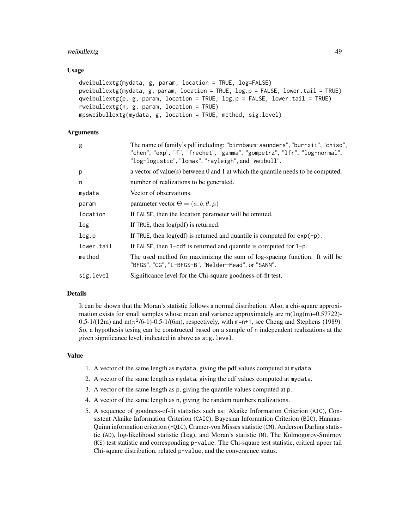#### weibullextg 49

#### Usage

```
dweibullextg(mydata, g, param, location = TRUE, log=FALSE)
pweibullextg(mydata, g, param, location = TRUE, log.p = FALSE, lower.tail = TRUE)
qweibullextg(p, g, param, location = TRUE, log.p = FALSE, lower.tail = TRUE)
rweibullextg(n, g, param, location = TRUE)
mpsweibullextg(mydata, g, location = TRUE, method, sig.level)
```
#### Arguments

| g          | The name of family's pdf including: "birnbaum-saunders", "burrxii", "chisq",<br>"chen", "exp", "f", "frechet", "gamma", "gompetrz", "lfr", "log-normal",<br>"log-logistic", "lomax", "rayleigh", and "weibull". |
|------------|-----------------------------------------------------------------------------------------------------------------------------------------------------------------------------------------------------------------|
| p          | a vector of value(s) between 0 and 1 at which the quantile needs to be computed.                                                                                                                                |
| n          | number of realizations to be generated.                                                                                                                                                                         |
| mydata     | Vector of observations.                                                                                                                                                                                         |
| param      | parameter vector $\Theta = (a, b, \theta, \mu)$                                                                                                                                                                 |
| location   | If FALSE, then the location parameter will be omitted.                                                                                                                                                          |
| log        | If TRUE, then $log(pdf)$ is returned.                                                                                                                                                                           |
| log.p      | If TRUE, then $log(cd)$ is returned and quantile is computed for $exp(-p)$ .                                                                                                                                    |
| lower.tail | If FALSE, then $1$ -cdf is returned and quantile is computed for $1-p$ .                                                                                                                                        |
| method     | The used method for maximizing the sum of log-spacing function. It will be<br>"BFGS", "CG", "L-BFGS-B", "Nelder-Mead", or "SANN".                                                                               |
| sig.level  | Significance level for the Chi-square goodness-of-fit test.                                                                                                                                                     |

#### Details

It can be shown that the Moran's statistic follows a normal distribution. Also, a chi-square approximation exists for small samples whose mean and variance approximately are  $m(\log(m)+0.57722)$ -0.5-1/(12m) and m( $\pi^2/6$ -1)-0.5-1/(6m), respectively, with m=n+1, see Cheng and Stephens (1989). So, a hypothesis tesing can be constructed based on a sample of n independent realizations at the given significance level, indicated in above as sig.level.

#### Value

- 1. A vector of the same length as mydata, giving the pdf values computed at mydata.
- 2. A vector of the same length as mydata, giving the cdf values computed at mydata.
- 3. A vector of the same length as p, giving the quantile values computed at p.
- 4. A vector of the same length as n, giving the random numbers realizations.
- 5. A sequence of goodness-of-fit statistics such as: Akaike Information Criterion (AIC), Consistent Akaike Information Criterion (CAIC), Bayesian Information Criterion (BIC), Hannan-Quinn information criterion (HQIC), Cramer-von Misses statistic (CM), Anderson Darling statistic (AD), log-likelihood statistic (log), and Moran's statistic (M). The Kolmogorov-Smirnov (KS) test statistic and corresponding p-value. The Chi-square test statistic, critical upper tail Chi-square distribution, related p-value, and the convergence status.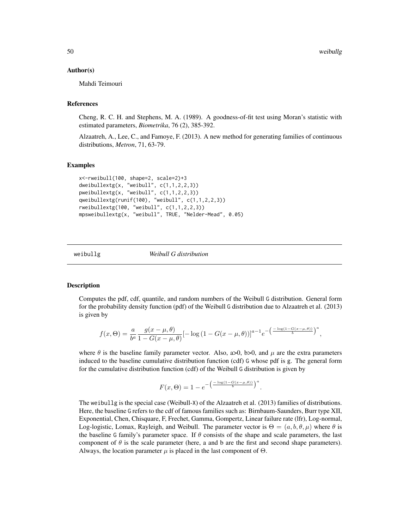#### <span id="page-49-0"></span>Author(s)

Mahdi Teimouri

#### References

Cheng, R. C. H. and Stephens, M. A. (1989). A goodness-of-fit test using Moran's statistic with estimated parameters, *Biometrika*, 76 (2), 385-392.

Alzaatreh, A., Lee, C., and Famoye, F. (2013). A new method for generating families of continuous distributions, *Metron*, 71, 63-79.

#### Examples

```
x<-rweibull(100, shape=2, scale=2)+3
dweibullextg(x, "weibull", c(1,1,2,2,3))
pweibullextg(x, "weibull", c(1,1,2,2,3))
qweibullextg(runif(100), "weibull", c(1,1,2,2,3))
rweibullextg(100, "weibull", c(1,1,2,2,3))
mpsweibullextg(x, "weibull", TRUE, "Nelder-Mead", 0.05)
```
weibullg *Weibull G distribution*

#### Description

Computes the pdf, cdf, quantile, and random numbers of the Weibull G distribution. General form for the probability density function (pdf) of the Weibull G distribution due to Alzaatreh et al. (2013) is given by

$$
f(x,\Theta) = \frac{a}{b^a} \frac{g(x-\mu,\theta)}{1-G(x-\mu,\theta)} \left[-\log\left(1-G(x-\mu,\theta)\right)\right]^{a-1} e^{-\left(\frac{-\log(1-G(x-\mu,\theta))}{b}\right)^a},
$$

where  $\theta$  is the baseline family parameter vector. Also, a>0, b>0, and  $\mu$  are the extra parameters induced to the baseline cumulative distribution function (cdf) G whose pdf is g. The general form for the cumulative distribution function (cdf) of the Weibull G distribution is given by

$$
F(x,\Theta) = 1 - e^{-\left(\frac{-\log(1 - G(x - \mu,\theta))}{b}\right)^a}.
$$

The weibullg is the special case (Weibull-X) of the Alzaatreh et al. (2013) families of distributions. Here, the baseline G refers to the cdf of famous families such as: Birnbaum-Saunders, Burr type XII, Exponential, Chen, Chisquare, F, Frechet, Gamma, Gompertz, Linear failure rate (lfr), Log-normal, Log-logistic, Lomax, Rayleigh, and Weibull. The parameter vector is  $\Theta = (a, b, \theta, \mu)$  where  $\theta$  is the baseline G family's parameter space. If  $\theta$  consists of the shape and scale parameters, the last component of  $\theta$  is the scale parameter (here, a and b are the first and second shape parameters). Always, the location parameter  $\mu$  is placed in the last component of  $\Theta$ .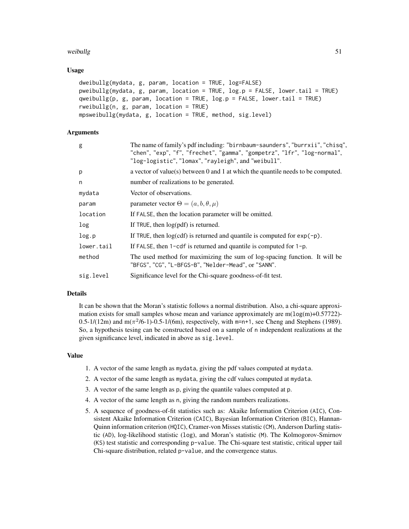#### weibullg 51

#### Usage

```
dweibullg(mydata, g, param, location = TRUE, log=FALSE)
pweibullg(mydata, g, param, location = TRUE, log.p = FALSE, lower.tail = TRUE)
qweibullg(p, g, param, location = TRUE, log.p = FALSE, lower.tail = TRUE)
rweibullg(n, g, param, location = TRUE)
mpsweibullg(mydata, g, location = TRUE, method, sig.level)
```
#### Arguments

| g          | The name of family's pdf including: "birnbaum-saunders", "burrxii", "chisq",<br>"chen", "exp", "f", "frechet", "gamma", "gompetrz", "lfr", "log-normal",<br>"log-logistic", "lomax", "rayleigh", and "weibull". |
|------------|-----------------------------------------------------------------------------------------------------------------------------------------------------------------------------------------------------------------|
| p          | a vector of value(s) between 0 and 1 at which the quantile needs to be computed.                                                                                                                                |
| n          | number of realizations to be generated.                                                                                                                                                                         |
| mydata     | Vector of observations.                                                                                                                                                                                         |
| param      | parameter vector $\Theta = (a, b, \theta, \mu)$                                                                                                                                                                 |
| location   | If FALSE, then the location parameter will be omitted.                                                                                                                                                          |
| log        | If TRUE, then $log(pdf)$ is returned.                                                                                                                                                                           |
| log.p      | If TRUE, then $log(cdf)$ is returned and quantile is computed for $exp(-p)$ .                                                                                                                                   |
| lower.tail | If FALSE, then $1$ -cdf is returned and quantile is computed for $1-p$ .                                                                                                                                        |
| method     | The used method for maximizing the sum of log-spacing function. It will be<br>"BFGS", "CG", "L-BFGS-B", "Nelder-Mead", or "SANN".                                                                               |
| sig.level  | Significance level for the Chi-square goodness-of-fit test.                                                                                                                                                     |

#### Details

It can be shown that the Moran's statistic follows a normal distribution. Also, a chi-square approximation exists for small samples whose mean and variance approximately are  $m(\log(m)+0.57722)$ -0.5-1/(12m) and m( $\pi^2/6$ -1)-0.5-1/(6m), respectively, with m=n+1, see Cheng and Stephens (1989). So, a hypothesis tesing can be constructed based on a sample of n independent realizations at the given significance level, indicated in above as sig.level.

#### Value

- 1. A vector of the same length as mydata, giving the pdf values computed at mydata.
- 2. A vector of the same length as mydata, giving the cdf values computed at mydata.
- 3. A vector of the same length as p, giving the quantile values computed at p.
- 4. A vector of the same length as n, giving the random numbers realizations.
- 5. A sequence of goodness-of-fit statistics such as: Akaike Information Criterion (AIC), Consistent Akaike Information Criterion (CAIC), Bayesian Information Criterion (BIC), Hannan-Quinn information criterion (HQIC), Cramer-von Misses statistic (CM), Anderson Darling statistic (AD), log-likelihood statistic (log), and Moran's statistic (M). The Kolmogorov-Smirnov (KS) test statistic and corresponding p-value. The Chi-square test statistic, critical upper tail Chi-square distribution, related p-value, and the convergence status.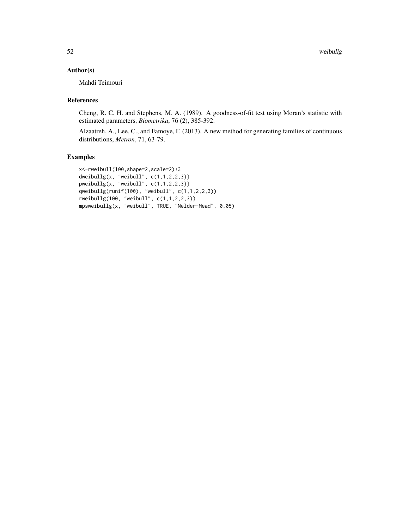#### Author(s)

Mahdi Teimouri

#### References

Cheng, R. C. H. and Stephens, M. A. (1989). A goodness-of-fit test using Moran's statistic with estimated parameters, *Biometrika*, 76 (2), 385-392.

Alzaatreh, A., Lee, C., and Famoye, F. (2013). A new method for generating families of continuous distributions, *Metron*, 71, 63-79.

#### Examples

```
x<-rweibull(100,shape=2,scale=2)+3
dweibullg(x, "weibull", c(1,1,2,2,3))
pweibullg(x, "weibull", c(1,1,2,2,3))
qweibullg(runif(100), "weibull", c(1,1,2,2,3))
rweibullg(100, "weibull", c(1,1,2,2,3))
mpsweibullg(x, "weibull", TRUE, "Nelder-Mead", 0.05)
```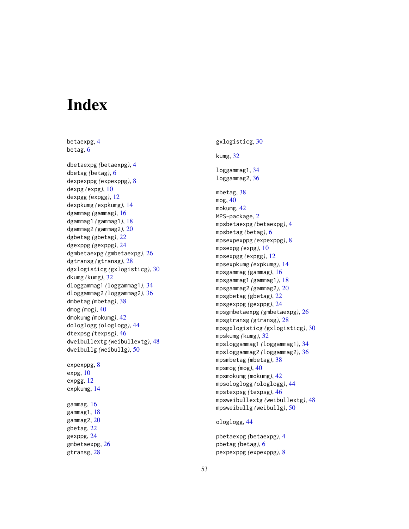# <span id="page-52-0"></span>Index

betaexpg , [4](#page-3-0) betag, <mark>[6](#page-5-0)</mark> dbetaexpg *(*betaexpg *)* , [4](#page-3-0) dbetag *(*betag *)* , [6](#page-5-0) dexpexppg *(*expexppg *)* , [8](#page-7-0) dexpg *(*expg *)* , [10](#page-9-0) dexpgg *(*expgg *)* , [12](#page-11-0) dexpkumg *(*expkumg *)* , [14](#page-13-0) dgammag *(*gammag *)* , [16](#page-15-0) dgammag1 *(*gammag1 *)* , [18](#page-17-0) dgammag2 *(*gammag2 *)* , [20](#page-19-0) dgbetag *(*gbetag *)* , [22](#page-21-0) dgexppg *(*gexppg *)* , [24](#page-23-0) dgmbetaexpg *(*gmbetaexpg *)* , [26](#page-25-0) dgtransg *(*gtransg *)* , [28](#page-27-0) dgxlogisticg *(*gxlogisticg *)* , [30](#page-29-0) dkumg *(*kumg *)* , [32](#page-31-0) dloggammag1 *(*loggammag1 *)* , [34](#page-33-0) dloggammag2 *(*loggammag2 *)* , [36](#page-35-0) dmbetag *(*mbetag *)* , [38](#page-37-0) dmog *(*mog *)* , [40](#page-39-0) dmokumg *(*mokumg *)* , [42](#page-41-0) dologlogg *(*ologlogg *)* , [44](#page-43-0) dtexpsg *(*texpsg *)* , [46](#page-45-0) dweibullextg *(*weibullextg *)* , [48](#page-47-0) dweibullg *(*weibullg *)* , [50](#page-49-0) expexppg, [8](#page-7-0) expg , [10](#page-9-0) expgg , [12](#page-11-0) expkumg , [14](#page-13-0)

gammag , [16](#page-15-0) gammag1 , [18](#page-17-0) gammag2 , [20](#page-19-0) gbetag , [22](#page-21-0) gexppg , [24](#page-23-0) gmbetaexpg , [26](#page-25-0) gtransg , [28](#page-27-0)

gxlogisticg , [30](#page-29-0)

kumg , [32](#page-31-0)

loggammag1 , [34](#page-33-0) loggammag2 , [36](#page-35-0) mbetag, [38](#page-37-0) mog , [40](#page-39-0) mokumg , [42](#page-41-0) MPS-package, [2](#page-1-0) mpsbetaexpg *(*betaexpg *)* , [4](#page-3-0) mpsbetag *(*betag *)* , [6](#page-5-0) mpsexpexppg *(*expexppg *)* , [8](#page-7-0) mpsexpg *(*expg *)* , [10](#page-9-0) mpsexpgg *(*expgg *)* , [12](#page-11-0) mpsexpkumg *(*expkumg *)* , [14](#page-13-0) mpsgammag *(*gammag *)* , [16](#page-15-0) mpsgammag1 *(*gammag1 *)* , [18](#page-17-0) mpsgammag2 *(*gammag2 *)* , [20](#page-19-0) mpsgbetag *(*gbetag *)* , [22](#page-21-0) mpsgexppg *(*gexppg *)* , [24](#page-23-0) mpsgmbetaexpg *(*gmbetaexpg *)* , [26](#page-25-0) mpsgtransg *(*gtransg *)* , [28](#page-27-0) mpsgxlogisticg *(*gxlogisticg *)* , [30](#page-29-0) mpskumg *(*kumg *)* , [32](#page-31-0) mpsloggammag1 *(*loggammag1 *)* , [34](#page-33-0) mpsloggammag2 *(*loggammag2 *)* , [36](#page-35-0) mpsmbetag *(*mbetag *)* , [38](#page-37-0) mpsmog *(*mog *)* , [40](#page-39-0) mpsmokumg *(*mokumg *)* , [42](#page-41-0) mpsologlogg *(*ologlogg *)* , [44](#page-43-0) mpstexpsg *(*texpsg *)* , [46](#page-45-0) mpsweibullextg *(*weibullextg *)* , [48](#page-47-0) mpsweibullg *(*weibullg *)* , [50](#page-49-0)

ologlogg , [44](#page-43-0)

pbetaexpg *(*betaexpg *)* , [4](#page-3-0) pbetag *(*betag *)* , [6](#page-5-0) pexpexppg *(*expexppg *)* , [8](#page-7-0)